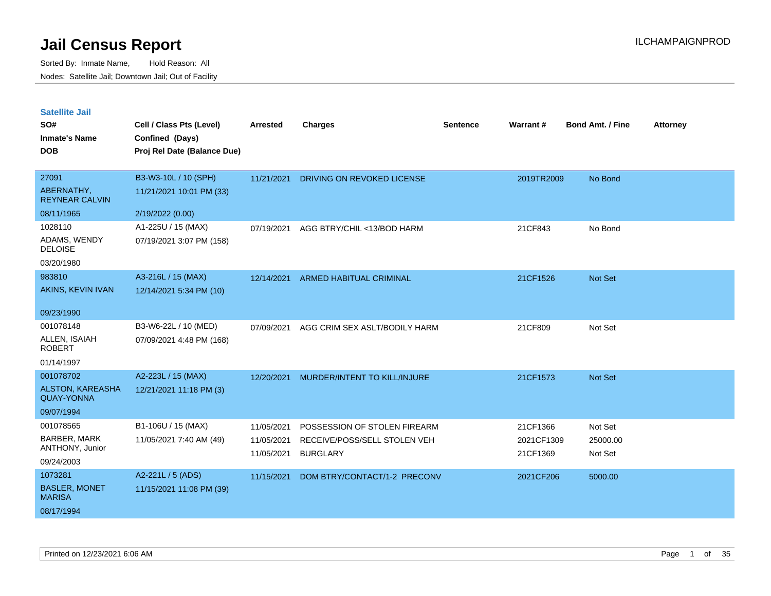| <b>Satellite Jail</b> |  |
|-----------------------|--|
|                       |  |

| UULUIILU VUII<br>SO#<br><b>Inmate's Name</b><br><b>DOB</b>              | Cell / Class Pts (Level)<br>Confined (Days)<br>Proj Rel Date (Balance Due) | <b>Arrested</b>                        | <b>Charges</b>                                                                  | <b>Sentence</b> | Warrant#                           | <b>Bond Amt. / Fine</b>        | <b>Attorney</b> |
|-------------------------------------------------------------------------|----------------------------------------------------------------------------|----------------------------------------|---------------------------------------------------------------------------------|-----------------|------------------------------------|--------------------------------|-----------------|
| 27091<br>ABERNATHY,<br><b>REYNEAR CALVIN</b><br>08/11/1965              | B3-W3-10L / 10 (SPH)<br>11/21/2021 10:01 PM (33)                           | 11/21/2021                             | DRIVING ON REVOKED LICENSE                                                      |                 | 2019TR2009                         | No Bond                        |                 |
| 1028110<br>ADAMS, WENDY<br><b>DELOISE</b><br>03/20/1980                 | 2/19/2022 (0.00)<br>A1-225U / 15 (MAX)<br>07/19/2021 3:07 PM (158)         | 07/19/2021                             | AGG BTRY/CHIL <13/BOD HARM                                                      |                 | 21CF843                            | No Bond                        |                 |
| 983810<br>AKINS, KEVIN IVAN<br>09/23/1990                               | A3-216L / 15 (MAX)<br>12/14/2021 5:34 PM (10)                              | 12/14/2021                             | ARMED HABITUAL CRIMINAL                                                         |                 | 21CF1526                           | Not Set                        |                 |
| 001078148<br>ALLEN, ISAIAH<br><b>ROBERT</b><br>01/14/1997               | B3-W6-22L / 10 (MED)<br>07/09/2021 4:48 PM (168)                           | 07/09/2021                             | AGG CRIM SEX ASLT/BODILY HARM                                                   |                 | 21CF809                            | Not Set                        |                 |
| 001078702<br><b>ALSTON, KAREASHA</b><br><b>QUAY-YONNA</b><br>09/07/1994 | A2-223L / 15 (MAX)<br>12/21/2021 11:18 PM (3)                              | 12/20/2021                             | MURDER/INTENT TO KILL/INJURE                                                    |                 | 21CF1573                           | Not Set                        |                 |
| 001078565<br><b>BARBER, MARK</b><br>ANTHONY, Junior<br>09/24/2003       | B1-106U / 15 (MAX)<br>11/05/2021 7:40 AM (49)                              | 11/05/2021<br>11/05/2021<br>11/05/2021 | POSSESSION OF STOLEN FIREARM<br>RECEIVE/POSS/SELL STOLEN VEH<br><b>BURGLARY</b> |                 | 21CF1366<br>2021CF1309<br>21CF1369 | Not Set<br>25000.00<br>Not Set |                 |
| 1073281<br><b>BASLER, MONET</b><br><b>MARISA</b><br>08/17/1994          | A2-221L / 5 (ADS)<br>11/15/2021 11:08 PM (39)                              | 11/15/2021                             | DOM BTRY/CONTACT/1-2 PRECONV                                                    |                 | 2021CF206                          | 5000.00                        |                 |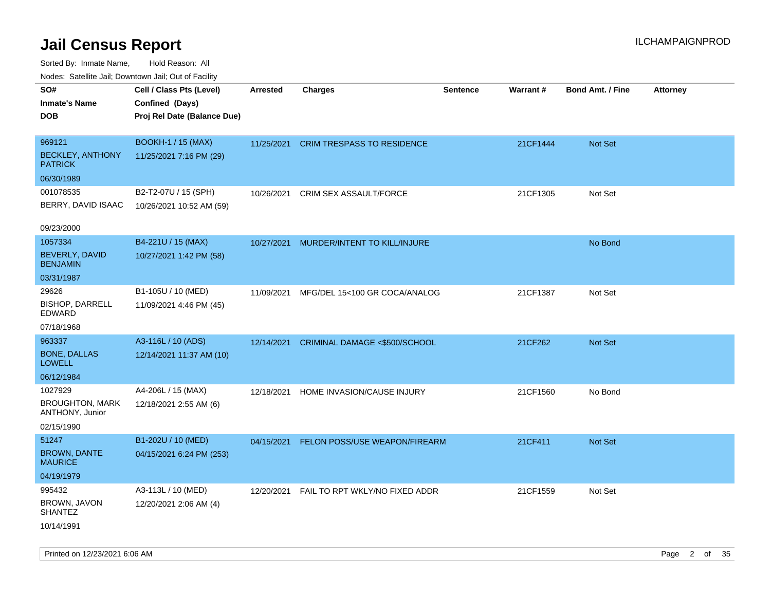| ivouss. Satellite Jali, Downtown Jali, Out of Facility |                             |                 |                                       |                 |          |                         |                 |
|--------------------------------------------------------|-----------------------------|-----------------|---------------------------------------|-----------------|----------|-------------------------|-----------------|
| SO#                                                    | Cell / Class Pts (Level)    | <b>Arrested</b> | <b>Charges</b>                        | <b>Sentence</b> | Warrant# | <b>Bond Amt. / Fine</b> | <b>Attorney</b> |
| Inmate's Name                                          | Confined (Days)             |                 |                                       |                 |          |                         |                 |
| DOB                                                    | Proj Rel Date (Balance Due) |                 |                                       |                 |          |                         |                 |
|                                                        |                             |                 |                                       |                 |          |                         |                 |
| 969121                                                 | <b>BOOKH-1 / 15 (MAX)</b>   |                 | 11/25/2021 CRIM TRESPASS TO RESIDENCE |                 | 21CF1444 | <b>Not Set</b>          |                 |
| <b>BECKLEY, ANTHONY</b><br><b>PATRICK</b>              | 11/25/2021 7:16 PM (29)     |                 |                                       |                 |          |                         |                 |
| 06/30/1989                                             |                             |                 |                                       |                 |          |                         |                 |
| 001078535                                              | B2-T2-07U / 15 (SPH)        | 10/26/2021      | CRIM SEX ASSAULT/FORCE                |                 | 21CF1305 | Not Set                 |                 |
| BERRY, DAVID ISAAC                                     | 10/26/2021 10:52 AM (59)    |                 |                                       |                 |          |                         |                 |
|                                                        |                             |                 |                                       |                 |          |                         |                 |
| 09/23/2000                                             |                             |                 |                                       |                 |          |                         |                 |
| 1057334                                                | B4-221U / 15 (MAX)          | 10/27/2021      | MURDER/INTENT TO KILL/INJURE          |                 |          | No Bond                 |                 |
| BEVERLY, DAVID<br><b>BENJAMIN</b>                      | 10/27/2021 1:42 PM (58)     |                 |                                       |                 |          |                         |                 |
| 03/31/1987                                             |                             |                 |                                       |                 |          |                         |                 |
| 29626                                                  | B1-105U / 10 (MED)          | 11/09/2021      | MFG/DEL 15<100 GR COCA/ANALOG         |                 | 21CF1387 | Not Set                 |                 |
| <b>BISHOP, DARRELL</b><br>EDWARD                       | 11/09/2021 4:46 PM (45)     |                 |                                       |                 |          |                         |                 |
| 07/18/1968                                             |                             |                 |                                       |                 |          |                         |                 |
| 963337                                                 | A3-116L / 10 (ADS)          | 12/14/2021      | CRIMINAL DAMAGE <\$500/SCHOOL         |                 | 21CF262  | <b>Not Set</b>          |                 |
| <b>BONE, DALLAS</b><br>LOWELL                          | 12/14/2021 11:37 AM (10)    |                 |                                       |                 |          |                         |                 |
| 06/12/1984                                             |                             |                 |                                       |                 |          |                         |                 |
| 1027929                                                | A4-206L / 15 (MAX)          | 12/18/2021      | HOME INVASION/CAUSE INJURY            |                 | 21CF1560 | No Bond                 |                 |
| <b>BROUGHTON, MARK</b><br>ANTHONY, Junior              | 12/18/2021 2:55 AM (6)      |                 |                                       |                 |          |                         |                 |
| 02/15/1990                                             |                             |                 |                                       |                 |          |                         |                 |
| 51247                                                  | B1-202U / 10 (MED)          | 04/15/2021      | FELON POSS/USE WEAPON/FIREARM         |                 | 21CF411  | Not Set                 |                 |
| <b>BROWN, DANTE</b><br><b>MAURICE</b>                  | 04/15/2021 6:24 PM (253)    |                 |                                       |                 |          |                         |                 |
| 04/19/1979                                             |                             |                 |                                       |                 |          |                         |                 |
| 995432                                                 | A3-113L / 10 (MED)          | 12/20/2021      | FAIL TO RPT WKLY/NO FIXED ADDR        |                 | 21CF1559 | Not Set                 |                 |
| BROWN, JAVON<br><b>SHANTEZ</b>                         | 12/20/2021 2:06 AM (4)      |                 |                                       |                 |          |                         |                 |
| 10/14/1991                                             |                             |                 |                                       |                 |          |                         |                 |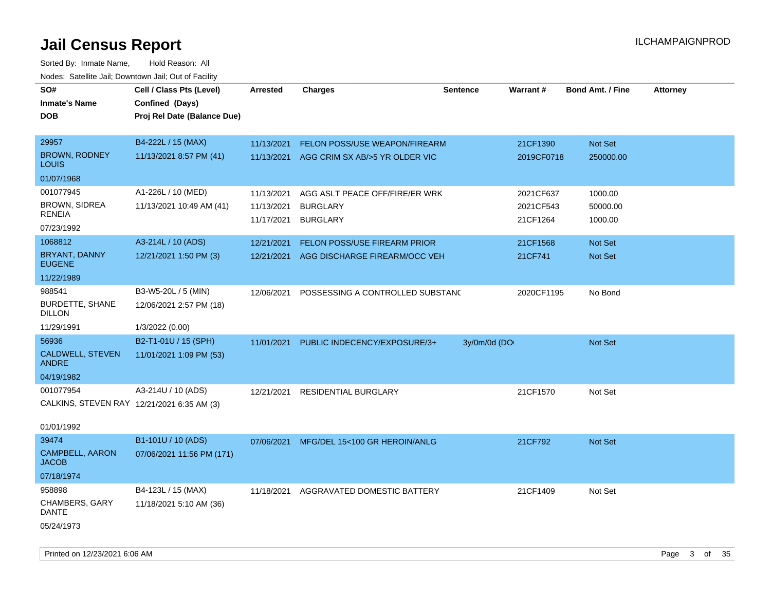| SO#<br><b>Inmate's Name</b><br><b>DOB</b>  | Cell / Class Pts (Level)<br>Confined (Days)<br>Proj Rel Date (Balance Due) | Arrested   | <b>Charges</b>                   | <b>Sentence</b> | Warrant#   | <b>Bond Amt. / Fine</b> | <b>Attorney</b> |
|--------------------------------------------|----------------------------------------------------------------------------|------------|----------------------------------|-----------------|------------|-------------------------|-----------------|
| 29957                                      | B4-222L / 15 (MAX)                                                         | 11/13/2021 | FELON POSS/USE WEAPON/FIREARM    |                 | 21CF1390   | Not Set                 |                 |
| <b>BROWN, RODNEY</b><br>Louis              | 11/13/2021 8:57 PM (41)                                                    | 11/13/2021 | AGG CRIM SX AB/>5 YR OLDER VIC   |                 | 2019CF0718 | 250000.00               |                 |
| 01/07/1968                                 |                                                                            |            |                                  |                 |            |                         |                 |
| 001077945                                  | A1-226L / 10 (MED)                                                         | 11/13/2021 | AGG ASLT PEACE OFF/FIRE/ER WRK   |                 | 2021CF637  | 1000.00                 |                 |
| BROWN, SIDREA<br>RENEIA                    | 11/13/2021 10:49 AM (41)                                                   | 11/13/2021 | <b>BURGLARY</b>                  |                 | 2021CF543  | 50000.00                |                 |
| 07/23/1992                                 |                                                                            | 11/17/2021 | <b>BURGLARY</b>                  |                 | 21CF1264   | 1000.00                 |                 |
| 1068812                                    | A3-214L / 10 (ADS)                                                         | 12/21/2021 | FELON POSS/USE FIREARM PRIOR     |                 | 21CF1568   | Not Set                 |                 |
| BRYANT, DANNY<br><b>EUGENE</b>             | 12/21/2021 1:50 PM (3)                                                     | 12/21/2021 | AGG DISCHARGE FIREARM/OCC VEH    |                 | 21CF741    | Not Set                 |                 |
| 11/22/1989                                 |                                                                            |            |                                  |                 |            |                         |                 |
| 988541                                     | B3-W5-20L / 5 (MIN)                                                        | 12/06/2021 | POSSESSING A CONTROLLED SUBSTAND |                 | 2020CF1195 | No Bond                 |                 |
| <b>BURDETTE, SHANE</b><br>DILLON           | 12/06/2021 2:57 PM (18)                                                    |            |                                  |                 |            |                         |                 |
| 11/29/1991                                 | 1/3/2022 (0.00)                                                            |            |                                  |                 |            |                         |                 |
| 56936                                      | B2-T1-01U / 15 (SPH)                                                       | 11/01/2021 | PUBLIC INDECENCY/EXPOSURE/3+     | 3y/0m/0d (DO    |            | Not Set                 |                 |
| CALDWELL, STEVEN<br><b>ANDRE</b>           | 11/01/2021 1:09 PM (53)                                                    |            |                                  |                 |            |                         |                 |
| 04/19/1982                                 |                                                                            |            |                                  |                 |            |                         |                 |
| 001077954                                  | A3-214U / 10 (ADS)                                                         | 12/21/2021 | RESIDENTIAL BURGLARY             |                 | 21CF1570   | Not Set                 |                 |
| CALKINS, STEVEN RAY 12/21/2021 6:35 AM (3) |                                                                            |            |                                  |                 |            |                         |                 |
| 01/01/1992                                 |                                                                            |            |                                  |                 |            |                         |                 |
| 39474                                      | B1-101U / 10 (ADS)                                                         | 07/06/2021 | MFG/DEL 15<100 GR HEROIN/ANLG    |                 | 21CF792    | <b>Not Set</b>          |                 |
| CAMPBELL, AARON<br><b>JACOB</b>            | 07/06/2021 11:56 PM (171)                                                  |            |                                  |                 |            |                         |                 |
| 07/18/1974                                 |                                                                            |            |                                  |                 |            |                         |                 |
| 958898                                     | B4-123L / 15 (MAX)                                                         | 11/18/2021 | AGGRAVATED DOMESTIC BATTERY      |                 | 21CF1409   | Not Set                 |                 |
| CHAMBERS, GARY<br>DANTE                    | 11/18/2021 5:10 AM (36)                                                    |            |                                  |                 |            |                         |                 |
| 05/24/1973                                 |                                                                            |            |                                  |                 |            |                         |                 |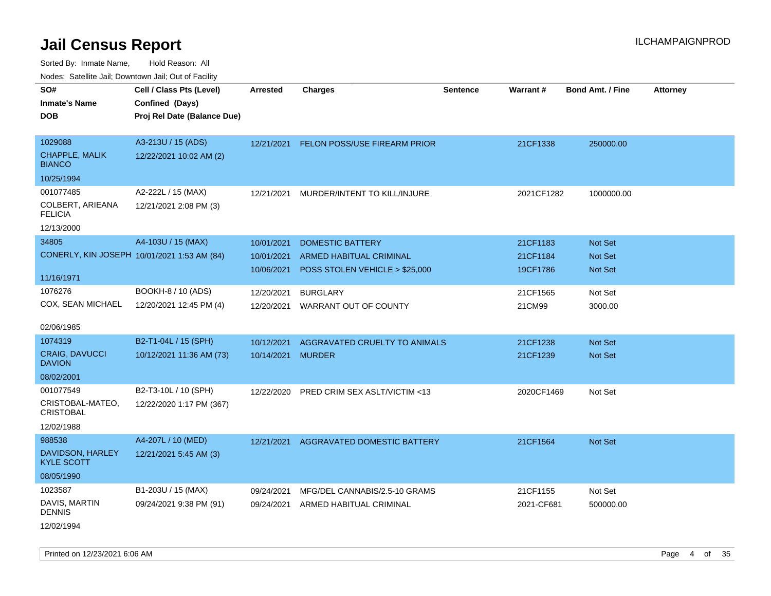| ivoues. Salellite Jali, Downtown Jali, Out of Facility |                                             |                 |                                |                 |                 |                         |                 |
|--------------------------------------------------------|---------------------------------------------|-----------------|--------------------------------|-----------------|-----------------|-------------------------|-----------------|
| SO#                                                    | Cell / Class Pts (Level)                    | <b>Arrested</b> | <b>Charges</b>                 | <b>Sentence</b> | <b>Warrant#</b> | <b>Bond Amt. / Fine</b> | <b>Attorney</b> |
| Inmate's Name                                          | Confined (Days)                             |                 |                                |                 |                 |                         |                 |
| <b>DOB</b>                                             | Proj Rel Date (Balance Due)                 |                 |                                |                 |                 |                         |                 |
|                                                        |                                             |                 |                                |                 |                 |                         |                 |
| 1029088                                                | A3-213U / 15 (ADS)                          | 12/21/2021      | FELON POSS/USE FIREARM PRIOR   |                 | 21CF1338        | 250000.00               |                 |
| CHAPPLE, MALIK<br><b>BIANCO</b>                        | 12/22/2021 10:02 AM (2)                     |                 |                                |                 |                 |                         |                 |
| 10/25/1994                                             |                                             |                 |                                |                 |                 |                         |                 |
| 001077485                                              | A2-222L / 15 (MAX)                          | 12/21/2021      | MURDER/INTENT TO KILL/INJURE   |                 | 2021CF1282      | 1000000.00              |                 |
| COLBERT, ARIEANA<br><b>FELICIA</b>                     | 12/21/2021 2:08 PM (3)                      |                 |                                |                 |                 |                         |                 |
| 12/13/2000                                             |                                             |                 |                                |                 |                 |                         |                 |
| 34805                                                  | A4-103U / 15 (MAX)                          | 10/01/2021      | <b>DOMESTIC BATTERY</b>        |                 | 21CF1183        | <b>Not Set</b>          |                 |
|                                                        | CONERLY, KIN JOSEPH 10/01/2021 1:53 AM (84) | 10/01/2021      | ARMED HABITUAL CRIMINAL        |                 | 21CF1184        | <b>Not Set</b>          |                 |
|                                                        |                                             | 10/06/2021      | POSS STOLEN VEHICLE > \$25,000 |                 | 19CF1786        | Not Set                 |                 |
| 11/16/1971                                             |                                             |                 |                                |                 |                 |                         |                 |
| 1076276                                                | BOOKH-8 / 10 (ADS)                          | 12/20/2021      | <b>BURGLARY</b>                |                 | 21CF1565        | Not Set                 |                 |
| COX, SEAN MICHAEL                                      | 12/20/2021 12:45 PM (4)                     | 12/20/2021      | WARRANT OUT OF COUNTY          |                 | 21CM99          | 3000.00                 |                 |
|                                                        |                                             |                 |                                |                 |                 |                         |                 |
| 02/06/1985                                             |                                             |                 |                                |                 |                 |                         |                 |
| 1074319                                                | B2-T1-04L / 15 (SPH)                        | 10/12/2021      | AGGRAVATED CRUELTY TO ANIMALS  |                 | 21CF1238        | <b>Not Set</b>          |                 |
| <b>CRAIG, DAVUCCI</b><br><b>DAVION</b>                 | 10/12/2021 11:36 AM (73)                    | 10/14/2021      | <b>MURDER</b>                  |                 | 21CF1239        | <b>Not Set</b>          |                 |
| 08/02/2001                                             |                                             |                 |                                |                 |                 |                         |                 |
| 001077549                                              | B2-T3-10L / 10 (SPH)                        | 12/22/2020      | PRED CRIM SEX ASLT/VICTIM <13  |                 | 2020CF1469      | Not Set                 |                 |
| CRISTOBAL-MATEO,<br><b>CRISTOBAL</b>                   | 12/22/2020 1:17 PM (367)                    |                 |                                |                 |                 |                         |                 |
| 12/02/1988                                             |                                             |                 |                                |                 |                 |                         |                 |
| 988538                                                 | A4-207L / 10 (MED)                          | 12/21/2021      | AGGRAVATED DOMESTIC BATTERY    |                 | 21CF1564        | <b>Not Set</b>          |                 |
| DAVIDSON, HARLEY<br>KYLE SCOTT                         | 12/21/2021 5:45 AM (3)                      |                 |                                |                 |                 |                         |                 |
| 08/05/1990                                             |                                             |                 |                                |                 |                 |                         |                 |
| 1023587                                                | B1-203U / 15 (MAX)                          | 09/24/2021      | MFG/DEL CANNABIS/2.5-10 GRAMS  |                 | 21CF1155        | Not Set                 |                 |
| DAVIS, MARTIN<br>DENNIS                                | 09/24/2021 9:38 PM (91)                     | 09/24/2021      | ARMED HABITUAL CRIMINAL        |                 | 2021-CF681      | 500000.00               |                 |
| 12/02/1994                                             |                                             |                 |                                |                 |                 |                         |                 |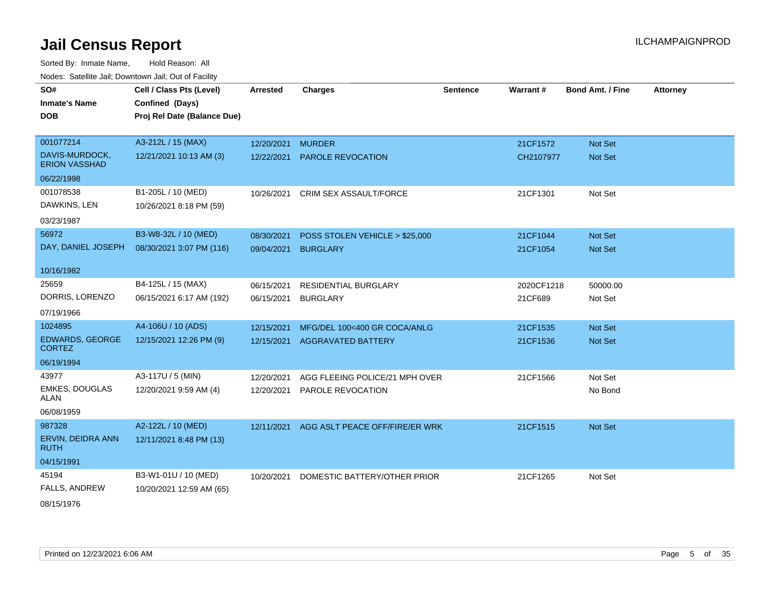Sorted By: Inmate Name, Hold Reason: All Nodes: Satellite Jail; Downtown Jail; Out of Facility

| SO#<br><b>Inmate's Name</b><br><b>DOB</b> | Cell / Class Pts (Level)<br>Confined (Days)<br>Proj Rel Date (Balance Due) | <b>Arrested</b> | <b>Charges</b>                 | <b>Sentence</b> | Warrant#   | <b>Bond Amt. / Fine</b> | <b>Attorney</b> |
|-------------------------------------------|----------------------------------------------------------------------------|-----------------|--------------------------------|-----------------|------------|-------------------------|-----------------|
| 001077214                                 | A3-212L / 15 (MAX)                                                         | 12/20/2021      | <b>MURDER</b>                  |                 | 21CF1572   | <b>Not Set</b>          |                 |
| DAVIS-MURDOCK,<br><b>ERION VASSHAD</b>    | 12/21/2021 10:13 AM (3)                                                    | 12/22/2021      | <b>PAROLE REVOCATION</b>       |                 | CH2107977  | Not Set                 |                 |
| 06/22/1998                                |                                                                            |                 |                                |                 |            |                         |                 |
| 001078538                                 | B1-205L / 10 (MED)                                                         | 10/26/2021      | <b>CRIM SEX ASSAULT/FORCE</b>  |                 | 21CF1301   | Not Set                 |                 |
| DAWKINS, LEN                              | 10/26/2021 8:18 PM (59)                                                    |                 |                                |                 |            |                         |                 |
| 03/23/1987                                |                                                                            |                 |                                |                 |            |                         |                 |
| 56972                                     | B3-W8-32L / 10 (MED)                                                       | 08/30/2021      | POSS STOLEN VEHICLE > \$25,000 |                 | 21CF1044   | Not Set                 |                 |
| DAY, DANIEL JOSEPH                        | 08/30/2021 3:07 PM (116)                                                   | 09/04/2021      | <b>BURGLARY</b>                |                 | 21CF1054   | Not Set                 |                 |
| 10/16/1982                                |                                                                            |                 |                                |                 |            |                         |                 |
| 25659                                     | B4-125L / 15 (MAX)                                                         | 06/15/2021      | RESIDENTIAL BURGLARY           |                 | 2020CF1218 | 50000.00                |                 |
| DORRIS, LORENZO                           | 06/15/2021 6:17 AM (192)                                                   | 06/15/2021      | <b>BURGLARY</b>                |                 | 21CF689    | Not Set                 |                 |
| 07/19/1966                                |                                                                            |                 |                                |                 |            |                         |                 |
| 1024895                                   | A4-106U / 10 (ADS)                                                         | 12/15/2021      | MFG/DEL 100<400 GR COCA/ANLG   |                 | 21CF1535   | Not Set                 |                 |
| <b>EDWARDS, GEORGE</b><br><b>CORTEZ</b>   | 12/15/2021 12:26 PM (9)                                                    | 12/15/2021      | <b>AGGRAVATED BATTERY</b>      |                 | 21CF1536   | Not Set                 |                 |
| 06/19/1994                                |                                                                            |                 |                                |                 |            |                         |                 |
| 43977                                     | A3-117U / 5 (MIN)                                                          | 12/20/2021      | AGG FLEEING POLICE/21 MPH OVER |                 | 21CF1566   | Not Set                 |                 |
| <b>EMKES, DOUGLAS</b><br>ALAN             | 12/20/2021 9:59 AM (4)                                                     | 12/20/2021      | PAROLE REVOCATION              |                 |            | No Bond                 |                 |
| 06/08/1959                                |                                                                            |                 |                                |                 |            |                         |                 |
| 987328                                    | A2-122L / 10 (MED)                                                         | 12/11/2021      | AGG ASLT PEACE OFF/FIRE/ER WRK |                 | 21CF1515   | Not Set                 |                 |
| ERVIN, DEIDRA ANN<br><b>RUTH</b>          | 12/11/2021 8:48 PM (13)                                                    |                 |                                |                 |            |                         |                 |
| 04/15/1991                                |                                                                            |                 |                                |                 |            |                         |                 |
| 45194                                     | B3-W1-01U / 10 (MED)                                                       | 10/20/2021      | DOMESTIC BATTERY/OTHER PRIOR   |                 | 21CF1265   | Not Set                 |                 |
| <b>FALLS, ANDREW</b>                      | 10/20/2021 12:59 AM (65)                                                   |                 |                                |                 |            |                         |                 |

08/15/1976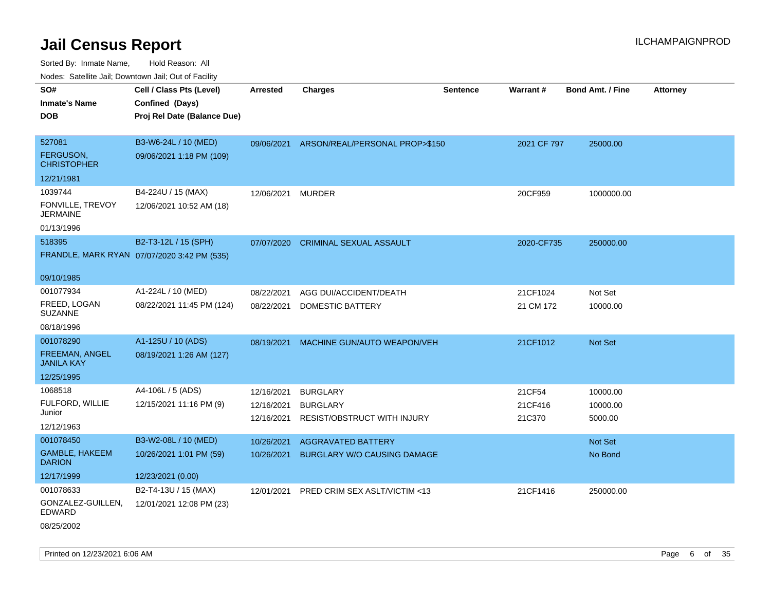Sorted By: Inmate Name, Hold Reason: All Nodes: Satellite Jail; Downtown Jail; Out of Facility

| roacs. Catellite Jall, Downtown Jall, Out of Facility |                                             |            |                                           |                 |             |                         |          |
|-------------------------------------------------------|---------------------------------------------|------------|-------------------------------------------|-----------------|-------------|-------------------------|----------|
| SO#                                                   | Cell / Class Pts (Level)                    | Arrested   | <b>Charges</b>                            | <b>Sentence</b> | Warrant#    | <b>Bond Amt. / Fine</b> | Attorney |
| <b>Inmate's Name</b>                                  | Confined (Days)                             |            |                                           |                 |             |                         |          |
| <b>DOB</b>                                            | Proj Rel Date (Balance Due)                 |            |                                           |                 |             |                         |          |
|                                                       |                                             |            |                                           |                 |             |                         |          |
| 527081                                                | B3-W6-24L / 10 (MED)                        |            | 09/06/2021 ARSON/REAL/PERSONAL PROP>\$150 |                 | 2021 CF 797 | 25000.00                |          |
| FERGUSON,<br><b>CHRISTOPHER</b>                       | 09/06/2021 1:18 PM (109)                    |            |                                           |                 |             |                         |          |
| 12/21/1981                                            |                                             |            |                                           |                 |             |                         |          |
| 1039744                                               | B4-224U / 15 (MAX)                          | 12/06/2021 | <b>MURDER</b>                             |                 | 20CF959     | 1000000.00              |          |
| FONVILLE, TREVOY<br><b>JERMAINE</b>                   | 12/06/2021 10:52 AM (18)                    |            |                                           |                 |             |                         |          |
| 01/13/1996                                            |                                             |            |                                           |                 |             |                         |          |
| 518395                                                | B2-T3-12L / 15 (SPH)                        | 07/07/2020 | <b>CRIMINAL SEXUAL ASSAULT</b>            |                 | 2020-CF735  | 250000.00               |          |
|                                                       | FRANDLE, MARK RYAN 07/07/2020 3:42 PM (535) |            |                                           |                 |             |                         |          |
|                                                       |                                             |            |                                           |                 |             |                         |          |
| 09/10/1985                                            |                                             |            |                                           |                 |             |                         |          |
| 001077934                                             | A1-224L / 10 (MED)                          | 08/22/2021 | AGG DUI/ACCIDENT/DEATH                    |                 | 21CF1024    | Not Set                 |          |
| FREED, LOGAN<br><b>SUZANNE</b>                        | 08/22/2021 11:45 PM (124)                   | 08/22/2021 | DOMESTIC BATTERY                          |                 | 21 CM 172   | 10000.00                |          |
| 08/18/1996                                            |                                             |            |                                           |                 |             |                         |          |
| 001078290                                             | A1-125U / 10 (ADS)                          | 08/19/2021 | MACHINE GUN/AUTO WEAPON/VEH               |                 | 21CF1012    | Not Set                 |          |
| <b>FREEMAN, ANGEL</b><br><b>JANILA KAY</b>            | 08/19/2021 1:26 AM (127)                    |            |                                           |                 |             |                         |          |
| 12/25/1995                                            |                                             |            |                                           |                 |             |                         |          |
| 1068518                                               | A4-106L / 5 (ADS)                           | 12/16/2021 | <b>BURGLARY</b>                           |                 | 21CF54      | 10000.00                |          |
| FULFORD, WILLIE                                       | 12/15/2021 11:16 PM (9)                     | 12/16/2021 | <b>BURGLARY</b>                           |                 | 21CF416     | 10000.00                |          |
| Junior                                                |                                             | 12/16/2021 | <b>RESIST/OBSTRUCT WITH INJURY</b>        |                 | 21C370      | 5000.00                 |          |
| 12/12/1963                                            |                                             |            |                                           |                 |             |                         |          |
| 001078450                                             | B3-W2-08L / 10 (MED)                        | 10/26/2021 | AGGRAVATED BATTERY                        |                 |             | Not Set                 |          |
| <b>GAMBLE, HAKEEM</b><br><b>DARION</b>                | 10/26/2021 1:01 PM (59)                     | 10/26/2021 | <b>BURGLARY W/O CAUSING DAMAGE</b>        |                 |             | No Bond                 |          |
| 12/17/1999                                            | 12/23/2021 (0.00)                           |            |                                           |                 |             |                         |          |
| 001078633                                             | B2-T4-13U / 15 (MAX)                        | 12/01/2021 | PRED CRIM SEX ASLT/VICTIM <13             |                 | 21CF1416    | 250000.00               |          |
| GONZALEZ-GUILLEN,<br>EDWARD                           | 12/01/2021 12:08 PM (23)                    |            |                                           |                 |             |                         |          |
| 08/25/2002                                            |                                             |            |                                           |                 |             |                         |          |

Printed on 12/23/2021 6:06 AM Page 6 of 35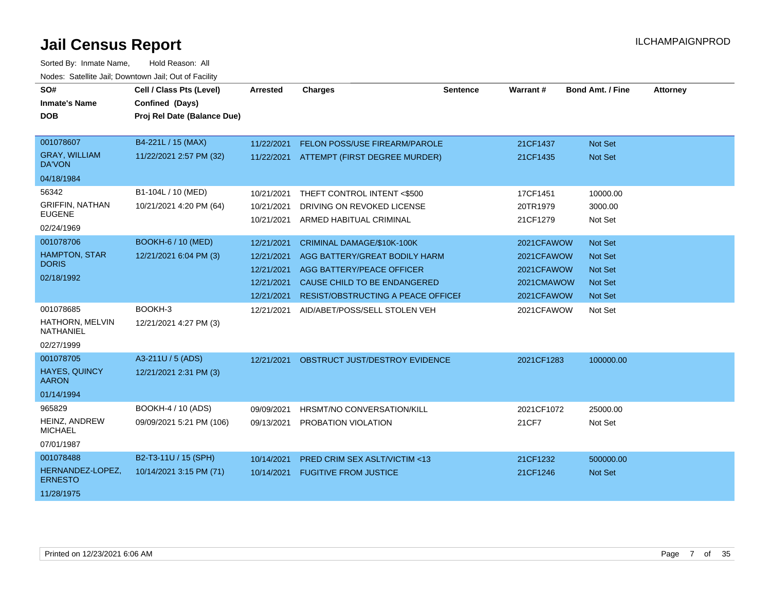| SO#<br><b>Inmate's Name</b><br><b>DOB</b> | Cell / Class Pts (Level)<br>Confined (Days)<br>Proj Rel Date (Balance Due) | Arrested   | <b>Charges</b>                            | Sentence | Warrant#   | <b>Bond Amt. / Fine</b> | <b>Attorney</b> |
|-------------------------------------------|----------------------------------------------------------------------------|------------|-------------------------------------------|----------|------------|-------------------------|-----------------|
| 001078607                                 | B4-221L / 15 (MAX)                                                         | 11/22/2021 | FELON POSS/USE FIREARM/PAROLE             |          | 21CF1437   | <b>Not Set</b>          |                 |
| <b>GRAY, WILLIAM</b><br><b>DA'VON</b>     | 11/22/2021 2:57 PM (32)                                                    | 11/22/2021 | ATTEMPT (FIRST DEGREE MURDER)             |          | 21CF1435   | Not Set                 |                 |
| 04/18/1984                                |                                                                            |            |                                           |          |            |                         |                 |
| 56342                                     | B1-104L / 10 (MED)                                                         | 10/21/2021 | THEFT CONTROL INTENT <\$500               |          | 17CF1451   | 10000.00                |                 |
| <b>GRIFFIN, NATHAN</b>                    | 10/21/2021 4:20 PM (64)                                                    | 10/21/2021 | DRIVING ON REVOKED LICENSE                |          | 20TR1979   | 3000.00                 |                 |
| <b>EUGENE</b><br>02/24/1969               |                                                                            | 10/21/2021 | ARMED HABITUAL CRIMINAL                   |          | 21CF1279   | Not Set                 |                 |
| 001078706                                 | <b>BOOKH-6 / 10 (MED)</b>                                                  | 12/21/2021 | CRIMINAL DAMAGE/\$10K-100K                |          | 2021CFAWOW | <b>Not Set</b>          |                 |
| <b>HAMPTON, STAR</b>                      | 12/21/2021 6:04 PM (3)                                                     | 12/21/2021 | AGG BATTERY/GREAT BODILY HARM             |          | 2021CFAWOW | <b>Not Set</b>          |                 |
| <b>DORIS</b>                              |                                                                            | 12/21/2021 | AGG BATTERY/PEACE OFFICER                 |          | 2021CFAWOW | <b>Not Set</b>          |                 |
| 02/18/1992                                |                                                                            | 12/21/2021 | CAUSE CHILD TO BE ENDANGERED              |          | 2021CMAWOW | <b>Not Set</b>          |                 |
|                                           |                                                                            | 12/21/2021 | <b>RESIST/OBSTRUCTING A PEACE OFFICEF</b> |          | 2021CFAWOW | <b>Not Set</b>          |                 |
| 001078685<br>HATHORN, MELVIN<br>NATHANIEL | BOOKH-3<br>12/21/2021 4:27 PM (3)                                          | 12/21/2021 | AID/ABET/POSS/SELL STOLEN VEH             |          | 2021CFAWOW | Not Set                 |                 |
| 02/27/1999                                |                                                                            |            |                                           |          |            |                         |                 |
| 001078705                                 | A3-211U / 5 (ADS)                                                          | 12/21/2021 | OBSTRUCT JUST/DESTROY EVIDENCE            |          | 2021CF1283 | 100000.00               |                 |
| <b>HAYES, QUINCY</b><br><b>AARON</b>      | 12/21/2021 2:31 PM (3)                                                     |            |                                           |          |            |                         |                 |
| 01/14/1994                                |                                                                            |            |                                           |          |            |                         |                 |
| 965829                                    | BOOKH-4 / 10 (ADS)                                                         | 09/09/2021 | HRSMT/NO CONVERSATION/KILL                |          | 2021CF1072 | 25000.00                |                 |
| HEINZ, ANDREW<br><b>MICHAEL</b>           | 09/09/2021 5:21 PM (106)                                                   | 09/13/2021 | PROBATION VIOLATION                       |          | 21CF7      | Not Set                 |                 |
| 07/01/1987                                |                                                                            |            |                                           |          |            |                         |                 |
| 001078488                                 | B2-T3-11U / 15 (SPH)                                                       | 10/14/2021 | PRED CRIM SEX ASLT/VICTIM <13             |          | 21CF1232   | 500000.00               |                 |
| HERNANDEZ-LOPEZ,<br><b>ERNESTO</b>        | 10/14/2021 3:15 PM (71)                                                    | 10/14/2021 | <b>FUGITIVE FROM JUSTICE</b>              |          | 21CF1246   | <b>Not Set</b>          |                 |
| 11/28/1975                                |                                                                            |            |                                           |          |            |                         |                 |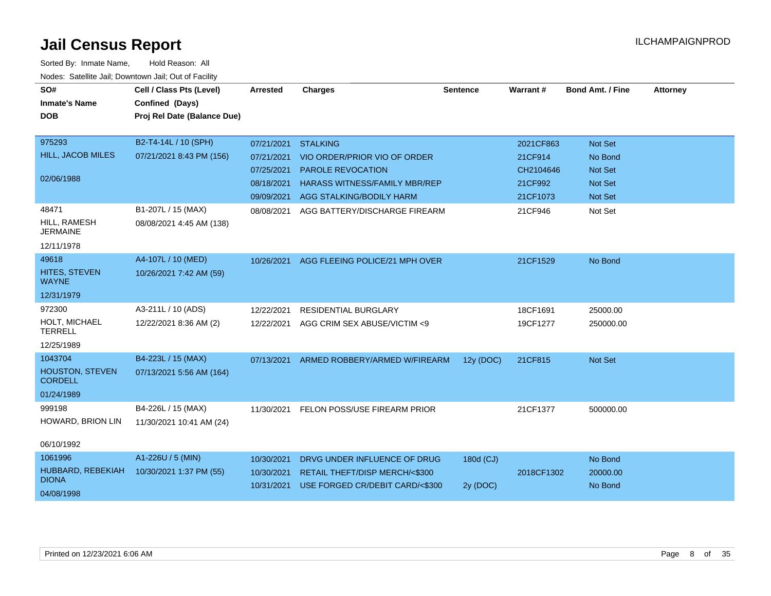| SO#<br><b>Inmate's Name</b><br><b>DOB</b> | Cell / Class Pts (Level)<br>Confined (Days)<br>Proj Rel Date (Balance Due) | Arrested                 | <b>Charges</b>                                                    | <b>Sentence</b> | Warrant#   | <b>Bond Amt. / Fine</b> | <b>Attorney</b> |
|-------------------------------------------|----------------------------------------------------------------------------|--------------------------|-------------------------------------------------------------------|-----------------|------------|-------------------------|-----------------|
| 975293                                    | B2-T4-14L / 10 (SPH)                                                       | 07/21/2021               | <b>STALKING</b>                                                   |                 | 2021CF863  | <b>Not Set</b>          |                 |
| HILL, JACOB MILES                         | 07/21/2021 8:43 PM (156)                                                   | 07/21/2021               | VIO ORDER/PRIOR VIO OF ORDER                                      |                 | 21CF914    | No Bond                 |                 |
|                                           |                                                                            | 07/25/2021               | PAROLE REVOCATION                                                 |                 | CH2104646  | <b>Not Set</b>          |                 |
| 02/06/1988                                |                                                                            | 08/18/2021               | <b>HARASS WITNESS/FAMILY MBR/REP</b>                              |                 | 21CF992    | <b>Not Set</b>          |                 |
|                                           |                                                                            | 09/09/2021               | AGG STALKING/BODILY HARM                                          |                 | 21CF1073   | Not Set                 |                 |
| 48471                                     | B1-207L / 15 (MAX)                                                         | 08/08/2021               | AGG BATTERY/DISCHARGE FIREARM                                     |                 | 21CF946    | Not Set                 |                 |
| HILL, RAMESH<br><b>JERMAINE</b>           | 08/08/2021 4:45 AM (138)                                                   |                          |                                                                   |                 |            |                         |                 |
| 12/11/1978                                |                                                                            |                          |                                                                   |                 |            |                         |                 |
| 49618                                     | A4-107L / 10 (MED)                                                         | 10/26/2021               | AGG FLEEING POLICE/21 MPH OVER                                    |                 | 21CF1529   | No Bond                 |                 |
| HITES, STEVEN<br><b>WAYNE</b>             | 10/26/2021 7:42 AM (59)                                                    |                          |                                                                   |                 |            |                         |                 |
| 12/31/1979                                |                                                                            |                          |                                                                   |                 |            |                         |                 |
| 972300                                    | A3-211L / 10 (ADS)                                                         | 12/22/2021               | RESIDENTIAL BURGLARY                                              |                 | 18CF1691   | 25000.00                |                 |
| HOLT, MICHAEL<br><b>TERRELL</b>           | 12/22/2021 8:36 AM (2)                                                     | 12/22/2021               | AGG CRIM SEX ABUSE/VICTIM <9                                      |                 | 19CF1277   | 250000.00               |                 |
| 12/25/1989                                |                                                                            |                          |                                                                   |                 |            |                         |                 |
| 1043704                                   | B4-223L / 15 (MAX)                                                         | 07/13/2021               | ARMED ROBBERY/ARMED W/FIREARM                                     | 12y (DOC)       | 21CF815    | <b>Not Set</b>          |                 |
| HOUSTON, STEVEN<br><b>CORDELL</b>         | 07/13/2021 5:56 AM (164)                                                   |                          |                                                                   |                 |            |                         |                 |
| 01/24/1989                                |                                                                            |                          |                                                                   |                 |            |                         |                 |
| 999198                                    | B4-226L / 15 (MAX)                                                         | 11/30/2021               | FELON POSS/USE FIREARM PRIOR                                      |                 | 21CF1377   | 500000.00               |                 |
| HOWARD, BRION LIN                         | 11/30/2021 10:41 AM (24)                                                   |                          |                                                                   |                 |            |                         |                 |
| 06/10/1992                                |                                                                            |                          |                                                                   |                 |            |                         |                 |
| 1061996                                   | A1-226U / 5 (MIN)                                                          | 10/30/2021               | DRVG UNDER INFLUENCE OF DRUG                                      | 180d (CJ)       |            | No Bond                 |                 |
| HUBBARD, REBEKIAH<br><b>DIONA</b>         | 10/30/2021 1:37 PM (55)                                                    | 10/30/2021<br>10/31/2021 | RETAIL THEFT/DISP MERCH/<\$300<br>USE FORGED CR/DEBIT CARD/<\$300 |                 | 2018CF1302 | 20000.00<br>No Bond     |                 |
| 04/08/1998                                |                                                                            |                          |                                                                   | 2y (DOC)        |            |                         |                 |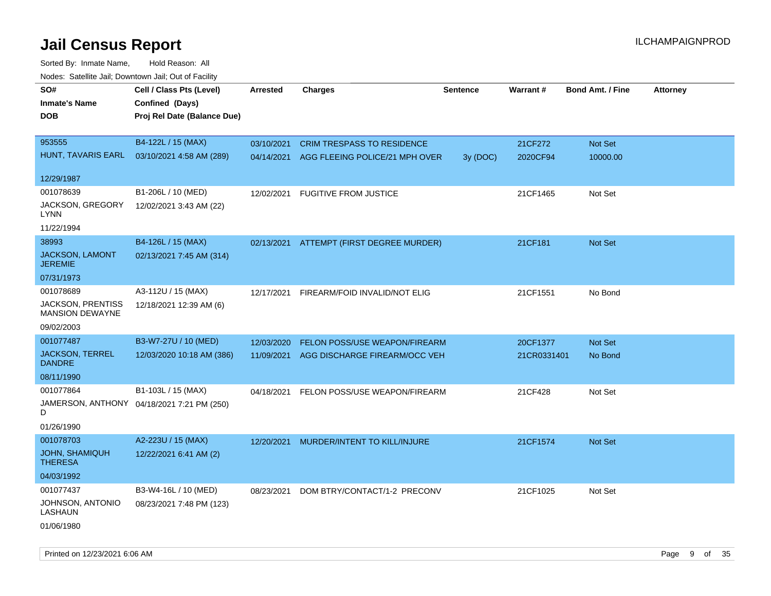| SO#<br><b>Inmate's Name</b><br><b>DOB</b>          | Cell / Class Pts (Level)<br>Confined (Days)<br>Proj Rel Date (Balance Due) | Arrested   | <b>Charges</b>                           | <b>Sentence</b> | Warrant#    | <b>Bond Amt. / Fine</b> | <b>Attorney</b> |
|----------------------------------------------------|----------------------------------------------------------------------------|------------|------------------------------------------|-----------------|-------------|-------------------------|-----------------|
| 953555                                             | B4-122L / 15 (MAX)                                                         | 03/10/2021 | <b>CRIM TRESPASS TO RESIDENCE</b>        |                 | 21CF272     | Not Set                 |                 |
| HUNT, TAVARIS EARL                                 | 03/10/2021 4:58 AM (289)                                                   | 04/14/2021 | AGG FLEEING POLICE/21 MPH OVER           | 3y (DOC)        | 2020CF94    | 10000.00                |                 |
| 12/29/1987                                         |                                                                            |            |                                          |                 |             |                         |                 |
| 001078639                                          | B1-206L / 10 (MED)                                                         | 12/02/2021 | <b>FUGITIVE FROM JUSTICE</b>             |                 | 21CF1465    | Not Set                 |                 |
| JACKSON, GREGORY<br>LYNN                           | 12/02/2021 3:43 AM (22)                                                    |            |                                          |                 |             |                         |                 |
| 11/22/1994                                         |                                                                            |            |                                          |                 |             |                         |                 |
| 38993                                              | B4-126L / 15 (MAX)                                                         |            | 02/13/2021 ATTEMPT (FIRST DEGREE MURDER) |                 | 21CF181     | Not Set                 |                 |
| JACKSON, LAMONT<br><b>JEREMIE</b>                  | 02/13/2021 7:45 AM (314)                                                   |            |                                          |                 |             |                         |                 |
| 07/31/1973                                         |                                                                            |            |                                          |                 |             |                         |                 |
| 001078689                                          | A3-112U / 15 (MAX)                                                         | 12/17/2021 | FIREARM/FOID INVALID/NOT ELIG            |                 | 21CF1551    | No Bond                 |                 |
| <b>JACKSON, PRENTISS</b><br><b>MANSION DEWAYNE</b> | 12/18/2021 12:39 AM (6)                                                    |            |                                          |                 |             |                         |                 |
| 09/02/2003                                         |                                                                            |            |                                          |                 |             |                         |                 |
| 001077487                                          | B3-W7-27U / 10 (MED)                                                       | 12/03/2020 | FELON POSS/USE WEAPON/FIREARM            |                 | 20CF1377    | <b>Not Set</b>          |                 |
| <b>JACKSON, TERREL</b><br><b>DANDRE</b>            | 12/03/2020 10:18 AM (386)                                                  | 11/09/2021 | AGG DISCHARGE FIREARM/OCC VEH            |                 | 21CR0331401 | No Bond                 |                 |
| 08/11/1990                                         |                                                                            |            |                                          |                 |             |                         |                 |
| 001077864                                          | B1-103L / 15 (MAX)                                                         | 04/18/2021 | FELON POSS/USE WEAPON/FIREARM            |                 | 21CF428     | Not Set                 |                 |
| D                                                  | JAMERSON, ANTHONY 04/18/2021 7:21 PM (250)                                 |            |                                          |                 |             |                         |                 |
| 01/26/1990                                         |                                                                            |            |                                          |                 |             |                         |                 |
| 001078703                                          | A2-223U / 15 (MAX)                                                         | 12/20/2021 | MURDER/INTENT TO KILL/INJURE             |                 | 21CF1574    | Not Set                 |                 |
| <b>JOHN, SHAMIQUH</b><br><b>THERESA</b>            | 12/22/2021 6:41 AM (2)                                                     |            |                                          |                 |             |                         |                 |
| 04/03/1992                                         |                                                                            |            |                                          |                 |             |                         |                 |
| 001077437                                          | B3-W4-16L / 10 (MED)                                                       | 08/23/2021 | DOM BTRY/CONTACT/1-2 PRECONV             |                 | 21CF1025    | Not Set                 |                 |
| JOHNSON, ANTONIO<br>LASHAUN<br>01/06/1980          | 08/23/2021 7:48 PM (123)                                                   |            |                                          |                 |             |                         |                 |
|                                                    |                                                                            |            |                                          |                 |             |                         |                 |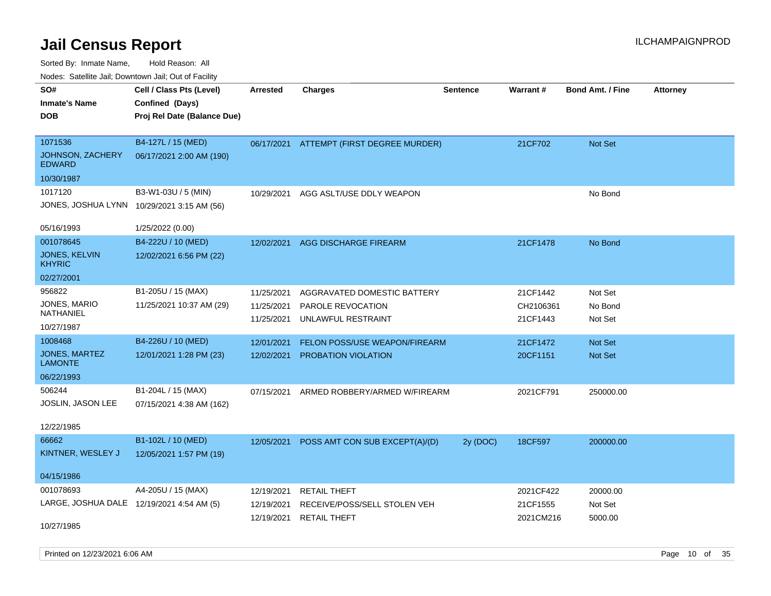Sorted By: Inmate Name, Hold Reason: All Nodes: Satellite Jail; Downtown Jail; Out of Facility

| Noues. Sateme Jan, Downtown Jan, Out of Facility |                                            |            |                                |                 |                 |                         |                 |
|--------------------------------------------------|--------------------------------------------|------------|--------------------------------|-----------------|-----------------|-------------------------|-----------------|
| SO#                                              | Cell / Class Pts (Level)                   | Arrested   | <b>Charges</b>                 | <b>Sentence</b> | <b>Warrant#</b> | <b>Bond Amt. / Fine</b> | <b>Attorney</b> |
| <b>Inmate's Name</b>                             | Confined (Days)                            |            |                                |                 |                 |                         |                 |
| DOB                                              | Proj Rel Date (Balance Due)                |            |                                |                 |                 |                         |                 |
|                                                  |                                            |            |                                |                 |                 |                         |                 |
| 1071536                                          | B4-127L / 15 (MED)                         | 06/17/2021 | ATTEMPT (FIRST DEGREE MURDER)  |                 | 21CF702         | Not Set                 |                 |
| <b>JOHNSON, ZACHERY</b><br><b>EDWARD</b>         | 06/17/2021 2:00 AM (190)                   |            |                                |                 |                 |                         |                 |
| 10/30/1987                                       |                                            |            |                                |                 |                 |                         |                 |
| 1017120                                          | B3-W1-03U / 5 (MIN)                        | 10/29/2021 | AGG ASLT/USE DDLY WEAPON       |                 |                 | No Bond                 |                 |
|                                                  | JONES, JOSHUA LYNN 10/29/2021 3:15 AM (56) |            |                                |                 |                 |                         |                 |
| 05/16/1993                                       | 1/25/2022 (0.00)                           |            |                                |                 |                 |                         |                 |
| 001078645                                        | B4-222U / 10 (MED)                         | 12/02/2021 | AGG DISCHARGE FIREARM          |                 | 21CF1478        | No Bond                 |                 |
| JONES, KELVIN<br><b>KHYRIC</b>                   | 12/02/2021 6:56 PM (22)                    |            |                                |                 |                 |                         |                 |
| 02/27/2001                                       |                                            |            |                                |                 |                 |                         |                 |
| 956822                                           | B1-205U / 15 (MAX)                         | 11/25/2021 | AGGRAVATED DOMESTIC BATTERY    |                 | 21CF1442        | Not Set                 |                 |
| JONES, MARIO                                     | 11/25/2021 10:37 AM (29)                   | 11/25/2021 | <b>PAROLE REVOCATION</b>       |                 | CH2106361       | No Bond                 |                 |
| NATHANIEL                                        |                                            | 11/25/2021 | UNLAWFUL RESTRAINT             |                 | 21CF1443        | Not Set                 |                 |
| 10/27/1987                                       |                                            |            |                                |                 |                 |                         |                 |
| 1008468                                          | B4-226U / 10 (MED)                         | 12/01/2021 | FELON POSS/USE WEAPON/FIREARM  |                 | 21CF1472        | <b>Not Set</b>          |                 |
| JONES, MARTEZ<br><b>LAMONTE</b>                  | 12/01/2021 1:28 PM (23)                    | 12/02/2021 | <b>PROBATION VIOLATION</b>     |                 | 20CF1151        | <b>Not Set</b>          |                 |
| 06/22/1993                                       |                                            |            |                                |                 |                 |                         |                 |
| 506244                                           | B1-204L / 15 (MAX)                         | 07/15/2021 | ARMED ROBBERY/ARMED W/FIREARM  |                 | 2021CF791       | 250000.00               |                 |
| JOSLIN, JASON LEE                                | 07/15/2021 4:38 AM (162)                   |            |                                |                 |                 |                         |                 |
|                                                  |                                            |            |                                |                 |                 |                         |                 |
| 12/22/1985                                       |                                            |            |                                |                 |                 |                         |                 |
| 66662                                            | B1-102L / 10 (MED)                         | 12/05/2021 | POSS AMT CON SUB EXCEPT(A)/(D) | 2y (DOC)        | 18CF597         | 200000.00               |                 |
| KINTNER, WESLEY J                                | 12/05/2021 1:57 PM (19)                    |            |                                |                 |                 |                         |                 |
| 04/15/1986                                       |                                            |            |                                |                 |                 |                         |                 |
| 001078693                                        | A4-205U / 15 (MAX)                         | 12/19/2021 | <b>RETAIL THEFT</b>            |                 | 2021CF422       | 20000.00                |                 |
| LARGE, JOSHUA DALE 12/19/2021 4:54 AM (5)        |                                            | 12/19/2021 | RECEIVE/POSS/SELL STOLEN VEH   |                 | 21CF1555        | Not Set                 |                 |
|                                                  |                                            | 12/19/2021 | <b>RETAIL THEFT</b>            |                 | 2021CM216       | 5000.00                 |                 |
| 10/27/1985                                       |                                            |            |                                |                 |                 |                         |                 |

Printed on  $12/23/2021$  6:06 AM Page 10 of 35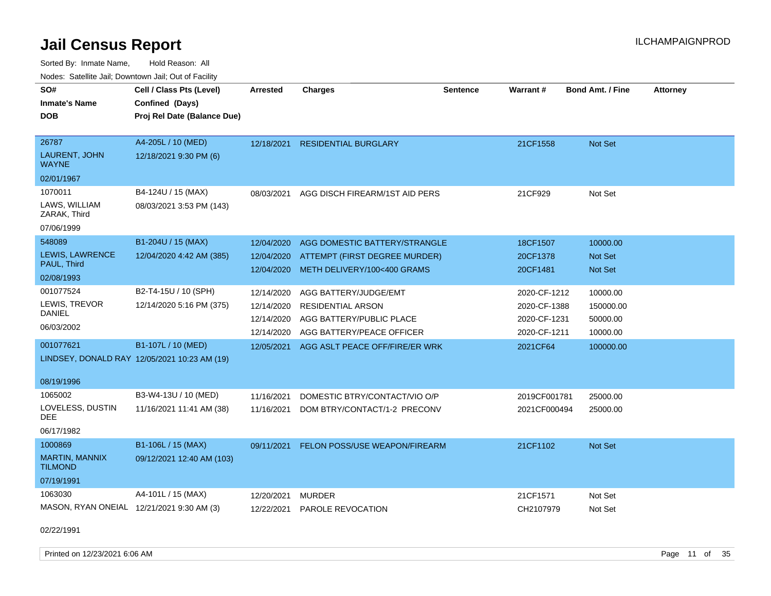Sorted By: Inmate Name, Hold Reason: All Nodes: Satellite Jail; Downtown Jail; Out of Facility

| wacs. Calcillic Jali, Downtown Jali, Out of Facility |                                              |                 |                                |                 |              |                         |                 |
|------------------------------------------------------|----------------------------------------------|-----------------|--------------------------------|-----------------|--------------|-------------------------|-----------------|
| SO#                                                  | Cell / Class Pts (Level)                     | <b>Arrested</b> | <b>Charges</b>                 | <b>Sentence</b> | Warrant#     | <b>Bond Amt. / Fine</b> | <b>Attorney</b> |
| <b>Inmate's Name</b>                                 | Confined (Days)                              |                 |                                |                 |              |                         |                 |
| DOB                                                  | Proj Rel Date (Balance Due)                  |                 |                                |                 |              |                         |                 |
|                                                      |                                              |                 |                                |                 |              |                         |                 |
| 26787                                                | A4-205L / 10 (MED)                           | 12/18/2021      | <b>RESIDENTIAL BURGLARY</b>    |                 | 21CF1558     | Not Set                 |                 |
| <b>LAURENT, JOHN</b><br><b>WAYNE</b>                 | 12/18/2021 9:30 PM (6)                       |                 |                                |                 |              |                         |                 |
| 02/01/1967                                           |                                              |                 |                                |                 |              |                         |                 |
| 1070011                                              | B4-124U / 15 (MAX)                           | 08/03/2021      | AGG DISCH FIREARM/1ST AID PERS |                 | 21CF929      | Not Set                 |                 |
| LAWS, WILLIAM<br>ZARAK, Third                        | 08/03/2021 3:53 PM (143)                     |                 |                                |                 |              |                         |                 |
| 07/06/1999                                           |                                              |                 |                                |                 |              |                         |                 |
| 548089                                               | B1-204U / 15 (MAX)                           | 12/04/2020      | AGG DOMESTIC BATTERY/STRANGLE  |                 | 18CF1507     | 10000.00                |                 |
| LEWIS, LAWRENCE                                      | 12/04/2020 4:42 AM (385)                     | 12/04/2020      | ATTEMPT (FIRST DEGREE MURDER)  |                 | 20CF1378     | Not Set                 |                 |
| PAUL, Third                                          |                                              | 12/04/2020      | METH DELIVERY/100<400 GRAMS    |                 | 20CF1481     | <b>Not Set</b>          |                 |
| 02/08/1993                                           |                                              |                 |                                |                 |              |                         |                 |
| 001077524                                            | B2-T4-15U / 10 (SPH)                         | 12/14/2020      | AGG BATTERY/JUDGE/EMT          |                 | 2020-CF-1212 | 10000.00                |                 |
| LEWIS, TREVOR                                        | 12/14/2020 5:16 PM (375)                     | 12/14/2020      | <b>RESIDENTIAL ARSON</b>       |                 | 2020-CF-1388 | 150000.00               |                 |
| DANIEL                                               |                                              | 12/14/2020      | AGG BATTERY/PUBLIC PLACE       |                 | 2020-CF-1231 | 50000.00                |                 |
| 06/03/2002                                           |                                              | 12/14/2020      | AGG BATTERY/PEACE OFFICER      |                 | 2020-CF-1211 | 10000.00                |                 |
| 001077621                                            | B1-107L / 10 (MED)                           | 12/05/2021      | AGG ASLT PEACE OFF/FIRE/ER WRK |                 | 2021CF64     | 100000.00               |                 |
|                                                      | LINDSEY, DONALD RAY 12/05/2021 10:23 AM (19) |                 |                                |                 |              |                         |                 |
|                                                      |                                              |                 |                                |                 |              |                         |                 |
| 08/19/1996                                           |                                              |                 |                                |                 |              |                         |                 |
| 1065002                                              | B3-W4-13U / 10 (MED)                         | 11/16/2021      | DOMESTIC BTRY/CONTACT/VIO O/P  |                 | 2019CF001781 | 25000.00                |                 |
| LOVELESS, DUSTIN<br>DEE                              | 11/16/2021 11:41 AM (38)                     | 11/16/2021      | DOM BTRY/CONTACT/1-2 PRECONV   |                 | 2021CF000494 | 25000.00                |                 |
| 06/17/1982                                           |                                              |                 |                                |                 |              |                         |                 |
| 1000869                                              | B1-106L / 15 (MAX)                           | 09/11/2021      | FELON POSS/USE WEAPON/FIREARM  |                 | 21CF1102     | <b>Not Set</b>          |                 |
| MARTIN, MANNIX<br><b>TILMOND</b>                     | 09/12/2021 12:40 AM (103)                    |                 |                                |                 |              |                         |                 |
| 07/19/1991                                           |                                              |                 |                                |                 |              |                         |                 |
| 1063030                                              | A4-101L / 15 (MAX)                           | 12/20/2021      | MURDER                         |                 | 21CF1571     | Not Set                 |                 |
| MASON, RYAN ONEIAL 12/21/2021 9:30 AM (3)            |                                              | 12/22/2021      | PAROLE REVOCATION              |                 | CH2107979    | Not Set                 |                 |
|                                                      |                                              |                 |                                |                 |              |                         |                 |

02/22/1991

Printed on 12/23/2021 6:06 AM **Page 11** of 35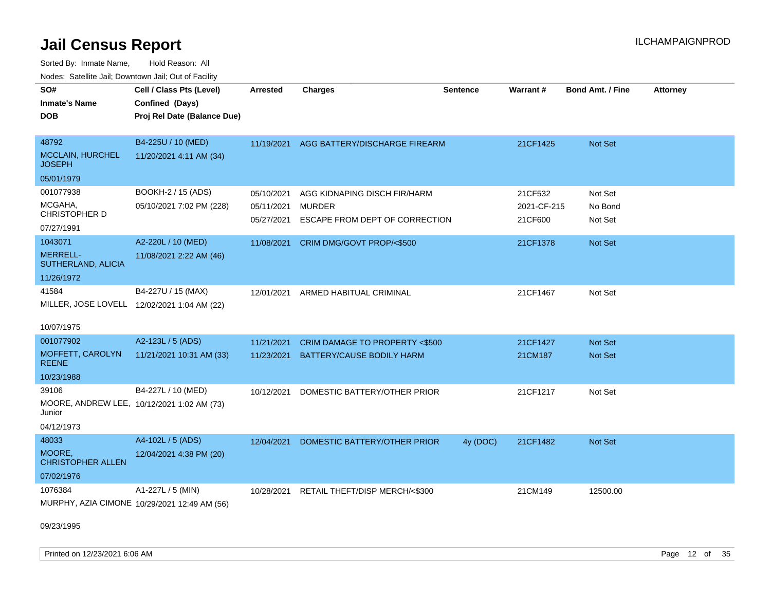Sorted By: Inmate Name, Hold Reason: All Nodes: Satellite Jail; Downtown Jail; Out of Facility

| SO#                                                  | Cell / Class Pts (Level)                     | <b>Arrested</b> | <b>Charges</b>                            | <b>Sentence</b> | Warrant#    | <b>Bond Amt. / Fine</b> | <b>Attorney</b> |
|------------------------------------------------------|----------------------------------------------|-----------------|-------------------------------------------|-----------------|-------------|-------------------------|-----------------|
| Inmate's Name                                        | Confined (Days)                              |                 |                                           |                 |             |                         |                 |
| <b>DOB</b>                                           | Proj Rel Date (Balance Due)                  |                 |                                           |                 |             |                         |                 |
|                                                      |                                              |                 |                                           |                 |             |                         |                 |
| 48792                                                | B4-225U / 10 (MED)                           | 11/19/2021      | AGG BATTERY/DISCHARGE FIREARM             |                 | 21CF1425    | Not Set                 |                 |
| <b>MCCLAIN, HURCHEL</b><br><b>JOSEPH</b>             | 11/20/2021 4:11 AM (34)                      |                 |                                           |                 |             |                         |                 |
| 05/01/1979                                           |                                              |                 |                                           |                 |             |                         |                 |
| 001077938                                            | BOOKH-2 / 15 (ADS)                           | 05/10/2021      | AGG KIDNAPING DISCH FIR/HARM              |                 | 21CF532     | Not Set                 |                 |
| MCGAHA,                                              | 05/10/2021 7:02 PM (228)                     | 05/11/2021      | <b>MURDER</b>                             |                 | 2021-CF-215 | No Bond                 |                 |
| <b>CHRISTOPHER D</b>                                 |                                              | 05/27/2021      | ESCAPE FROM DEPT OF CORRECTION            |                 | 21CF600     | Not Set                 |                 |
| 07/27/1991                                           |                                              |                 |                                           |                 |             |                         |                 |
| 1043071                                              | A2-220L / 10 (MED)                           | 11/08/2021      | CRIM DMG/GOVT PROP/<\$500                 |                 | 21CF1378    | <b>Not Set</b>          |                 |
| <b>MERRELL-</b><br>SUTHERLAND, ALICIA                | 11/08/2021 2:22 AM (46)                      |                 |                                           |                 |             |                         |                 |
| 11/26/1972                                           |                                              |                 |                                           |                 |             |                         |                 |
| 41584                                                | B4-227U / 15 (MAX)                           | 12/01/2021      | ARMED HABITUAL CRIMINAL                   |                 | 21CF1467    | Not Set                 |                 |
| MILLER, JOSE LOVELL 12/02/2021 1:04 AM (22)          |                                              |                 |                                           |                 |             |                         |                 |
|                                                      |                                              |                 |                                           |                 |             |                         |                 |
| 10/07/1975                                           |                                              |                 |                                           |                 |             |                         |                 |
| 001077902                                            | A2-123L / 5 (ADS)                            | 11/21/2021      | CRIM DAMAGE TO PROPERTY <\$500            |                 | 21CF1427    | Not Set                 |                 |
| MOFFETT, CAROLYN<br><b>REENE</b>                     | 11/21/2021 10:31 AM (33)                     | 11/23/2021      | BATTERY/CAUSE BODILY HARM                 |                 | 21CM187     | <b>Not Set</b>          |                 |
| 10/23/1988                                           |                                              |                 |                                           |                 |             |                         |                 |
| 39106                                                | B4-227L / 10 (MED)                           | 10/12/2021      | DOMESTIC BATTERY/OTHER PRIOR              |                 | 21CF1217    | Not Set                 |                 |
| MOORE, ANDREW LEE, 10/12/2021 1:02 AM (73)<br>Junior |                                              |                 |                                           |                 |             |                         |                 |
| 04/12/1973                                           |                                              |                 |                                           |                 |             |                         |                 |
| 48033                                                | A4-102L / 5 (ADS)                            | 12/04/2021      | DOMESTIC BATTERY/OTHER PRIOR              | 4y (DOC)        | 21CF1482    | <b>Not Set</b>          |                 |
| MOORE,<br><b>CHRISTOPHER ALLEN</b>                   | 12/04/2021 4:38 PM (20)                      |                 |                                           |                 |             |                         |                 |
| 07/02/1976                                           |                                              |                 |                                           |                 |             |                         |                 |
| 1076384                                              | A1-227L / 5 (MIN)                            |                 | 10/28/2021 RETAIL THEFT/DISP MERCH/<\$300 |                 | 21CM149     | 12500.00                |                 |
|                                                      | MURPHY, AZIA CIMONE 10/29/2021 12:49 AM (56) |                 |                                           |                 |             |                         |                 |

09/23/1995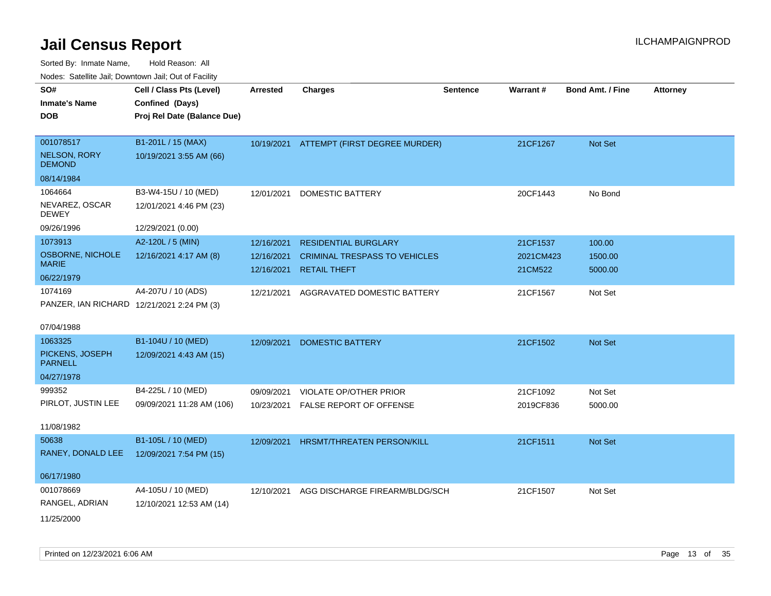| SO#                                        | Cell / Class Pts (Level)    | <b>Arrested</b> | <b>Charges</b>                           | <b>Sentence</b> | Warrant#  | <b>Bond Amt. / Fine</b> | <b>Attorney</b> |
|--------------------------------------------|-----------------------------|-----------------|------------------------------------------|-----------------|-----------|-------------------------|-----------------|
| <b>Inmate's Name</b>                       | Confined (Days)             |                 |                                          |                 |           |                         |                 |
| <b>DOB</b>                                 | Proj Rel Date (Balance Due) |                 |                                          |                 |           |                         |                 |
|                                            |                             |                 |                                          |                 |           |                         |                 |
| 001078517                                  | B1-201L / 15 (MAX)          |                 | 10/19/2021 ATTEMPT (FIRST DEGREE MURDER) |                 | 21CF1267  | Not Set                 |                 |
| <b>NELSON, RORY</b><br><b>DEMOND</b>       | 10/19/2021 3:55 AM (66)     |                 |                                          |                 |           |                         |                 |
| 08/14/1984                                 |                             |                 |                                          |                 |           |                         |                 |
| 1064664                                    | B3-W4-15U / 10 (MED)        | 12/01/2021      | <b>DOMESTIC BATTERY</b>                  |                 | 20CF1443  | No Bond                 |                 |
| NEVAREZ, OSCAR<br><b>DEWEY</b>             | 12/01/2021 4:46 PM (23)     |                 |                                          |                 |           |                         |                 |
| 09/26/1996                                 | 12/29/2021 (0.00)           |                 |                                          |                 |           |                         |                 |
| 1073913                                    | A2-120L / 5 (MIN)           | 12/16/2021      | <b>RESIDENTIAL BURGLARY</b>              |                 | 21CF1537  | 100.00                  |                 |
| OSBORNE, NICHOLE                           | 12/16/2021 4:17 AM (8)      | 12/16/2021      | <b>CRIMINAL TRESPASS TO VEHICLES</b>     |                 | 2021CM423 | 1500.00                 |                 |
| <b>MARIE</b>                               |                             | 12/16/2021      | <b>RETAIL THEFT</b>                      |                 | 21CM522   | 5000.00                 |                 |
| 06/22/1979                                 |                             |                 |                                          |                 |           |                         |                 |
| 1074169                                    | A4-207U / 10 (ADS)          | 12/21/2021      | AGGRAVATED DOMESTIC BATTERY              |                 | 21CF1567  | Not Set                 |                 |
| PANZER, IAN RICHARD 12/21/2021 2:24 PM (3) |                             |                 |                                          |                 |           |                         |                 |
| 07/04/1988                                 |                             |                 |                                          |                 |           |                         |                 |
| 1063325                                    | B1-104U / 10 (MED)          | 12/09/2021      | <b>DOMESTIC BATTERY</b>                  |                 | 21CF1502  | <b>Not Set</b>          |                 |
| PICKENS, JOSEPH<br><b>PARNELL</b>          | 12/09/2021 4:43 AM (15)     |                 |                                          |                 |           |                         |                 |
| 04/27/1978                                 |                             |                 |                                          |                 |           |                         |                 |
| 999352                                     | B4-225L / 10 (MED)          | 09/09/2021      | VIOLATE OP/OTHER PRIOR                   |                 | 21CF1092  | Not Set                 |                 |
| PIRLOT, JUSTIN LEE                         | 09/09/2021 11:28 AM (106)   | 10/23/2021      | FALSE REPORT OF OFFENSE                  |                 | 2019CF836 | 5000.00                 |                 |
|                                            |                             |                 |                                          |                 |           |                         |                 |
| 11/08/1982                                 |                             |                 |                                          |                 |           |                         |                 |
| 50638                                      | B1-105L / 10 (MED)          | 12/09/2021      | <b>HRSMT/THREATEN PERSON/KILL</b>        |                 | 21CF1511  | Not Set                 |                 |
| RANEY, DONALD LEE                          | 12/09/2021 7:54 PM (15)     |                 |                                          |                 |           |                         |                 |
| 06/17/1980                                 |                             |                 |                                          |                 |           |                         |                 |
| 001078669                                  |                             |                 |                                          |                 |           |                         |                 |
|                                            | A4-105U / 10 (MED)          | 12/10/2021      | AGG DISCHARGE FIREARM/BLDG/SCH           |                 | 21CF1507  | Not Set                 |                 |
| RANGEL, ADRIAN                             | 12/10/2021 12:53 AM (14)    |                 |                                          |                 |           |                         |                 |
| 11/25/2000                                 |                             |                 |                                          |                 |           |                         |                 |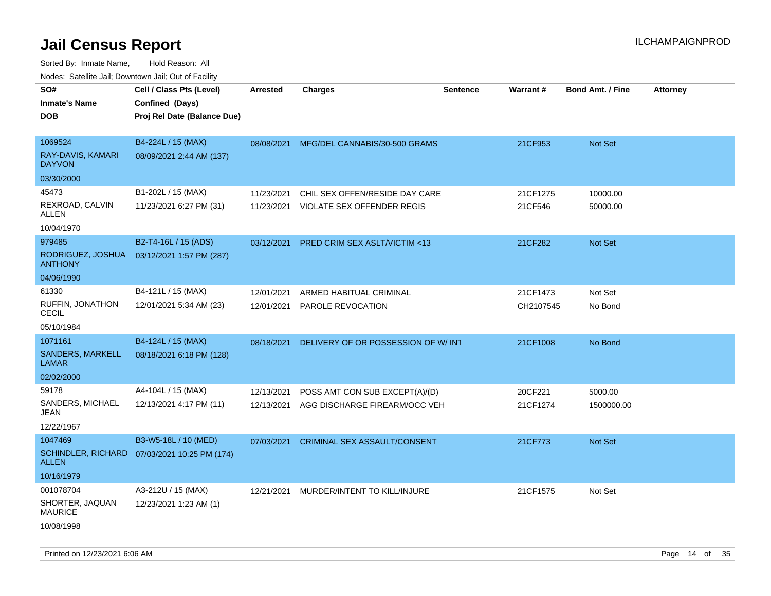| roaco. Catolino cali, Domntonn cali, Out of Facility |                                              |                 |                                          |                 |           |                         |                 |
|------------------------------------------------------|----------------------------------------------|-----------------|------------------------------------------|-----------------|-----------|-------------------------|-----------------|
| SO#                                                  | Cell / Class Pts (Level)                     | <b>Arrested</b> | <b>Charges</b>                           | <b>Sentence</b> | Warrant#  | <b>Bond Amt. / Fine</b> | <b>Attorney</b> |
| <b>Inmate's Name</b>                                 | Confined (Days)                              |                 |                                          |                 |           |                         |                 |
| <b>DOB</b>                                           | Proj Rel Date (Balance Due)                  |                 |                                          |                 |           |                         |                 |
|                                                      |                                              |                 |                                          |                 |           |                         |                 |
| 1069524                                              | B4-224L / 15 (MAX)                           |                 | 08/08/2021 MFG/DEL CANNABIS/30-500 GRAMS |                 | 21CF953   | <b>Not Set</b>          |                 |
| RAY-DAVIS, KAMARI<br><b>DAYVON</b>                   | 08/09/2021 2:44 AM (137)                     |                 |                                          |                 |           |                         |                 |
| 03/30/2000                                           |                                              |                 |                                          |                 |           |                         |                 |
| 45473                                                | B1-202L / 15 (MAX)                           | 11/23/2021      | CHIL SEX OFFEN/RESIDE DAY CARE           |                 | 21CF1275  | 10000.00                |                 |
| REXROAD, CALVIN<br>ALLEN                             | 11/23/2021 6:27 PM (31)                      | 11/23/2021      | VIOLATE SEX OFFENDER REGIS               |                 | 21CF546   | 50000.00                |                 |
| 10/04/1970                                           |                                              |                 |                                          |                 |           |                         |                 |
| 979485                                               | B2-T4-16L / 15 (ADS)                         | 03/12/2021      | PRED CRIM SEX ASLT/VICTIM <13            |                 | 21CF282   | Not Set                 |                 |
| RODRIGUEZ, JOSHUA<br><b>ANTHONY</b>                  | 03/12/2021 1:57 PM (287)                     |                 |                                          |                 |           |                         |                 |
| 04/06/1990                                           |                                              |                 |                                          |                 |           |                         |                 |
| 61330                                                | B4-121L / 15 (MAX)                           | 12/01/2021      | ARMED HABITUAL CRIMINAL                  |                 | 21CF1473  | Not Set                 |                 |
| RUFFIN, JONATHON<br>CECIL                            | 12/01/2021 5:34 AM (23)                      | 12/01/2021      | PAROLE REVOCATION                        |                 | CH2107545 | No Bond                 |                 |
| 05/10/1984                                           |                                              |                 |                                          |                 |           |                         |                 |
| 1071161                                              | B4-124L / 15 (MAX)                           | 08/18/2021      | DELIVERY OF OR POSSESSION OF W/INT       |                 | 21CF1008  | No Bond                 |                 |
| <b>SANDERS, MARKELL</b><br>LAMAR                     | 08/18/2021 6:18 PM (128)                     |                 |                                          |                 |           |                         |                 |
| 02/02/2000                                           |                                              |                 |                                          |                 |           |                         |                 |
| 59178                                                | A4-104L / 15 (MAX)                           | 12/13/2021      | POSS AMT CON SUB EXCEPT(A)/(D)           |                 | 20CF221   | 5000.00                 |                 |
| SANDERS, MICHAEL<br>JEAN                             | 12/13/2021 4:17 PM (11)                      | 12/13/2021      | AGG DISCHARGE FIREARM/OCC VEH            |                 | 21CF1274  | 1500000.00              |                 |
| 12/22/1967                                           |                                              |                 |                                          |                 |           |                         |                 |
| 1047469                                              | B3-W5-18L / 10 (MED)                         | 07/03/2021      | CRIMINAL SEX ASSAULT/CONSENT             |                 | 21CF773   | <b>Not Set</b>          |                 |
| <b>ALLEN</b>                                         | SCHINDLER, RICHARD 07/03/2021 10:25 PM (174) |                 |                                          |                 |           |                         |                 |
| 10/16/1979                                           |                                              |                 |                                          |                 |           |                         |                 |
| 001078704                                            | A3-212U / 15 (MAX)                           | 12/21/2021      | MURDER/INTENT TO KILL/INJURE             |                 | 21CF1575  | Not Set                 |                 |
| SHORTER, JAQUAN<br><b>MAURICE</b>                    | 12/23/2021 1:23 AM (1)                       |                 |                                          |                 |           |                         |                 |
| 10/08/1998                                           |                                              |                 |                                          |                 |           |                         |                 |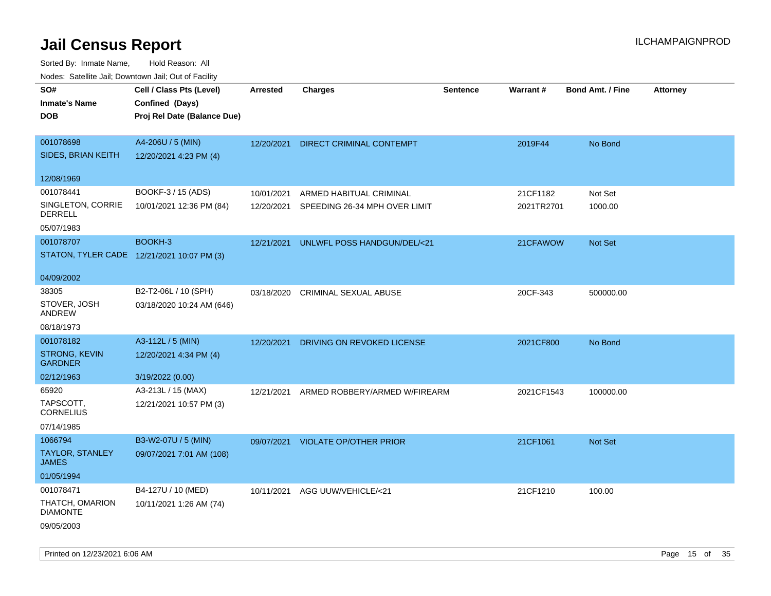Sorted By: Inmate Name, Hold Reason: All Nodes: Satellite Jail; Downtown Jail; Out of Facility

| indues. Satellite Jali, Downtown Jali, Out of Facility |                             |                 |                                 |                 |            |                         |                 |
|--------------------------------------------------------|-----------------------------|-----------------|---------------------------------|-----------------|------------|-------------------------|-----------------|
| SO#                                                    | Cell / Class Pts (Level)    | <b>Arrested</b> | <b>Charges</b>                  | <b>Sentence</b> | Warrant#   | <b>Bond Amt. / Fine</b> | <b>Attorney</b> |
| <b>Inmate's Name</b>                                   | Confined (Days)             |                 |                                 |                 |            |                         |                 |
| <b>DOB</b>                                             | Proj Rel Date (Balance Due) |                 |                                 |                 |            |                         |                 |
|                                                        |                             |                 |                                 |                 |            |                         |                 |
| 001078698                                              | A4-206U / 5 (MIN)           | 12/20/2021      | <b>DIRECT CRIMINAL CONTEMPT</b> |                 | 2019F44    | No Bond                 |                 |
| <b>SIDES, BRIAN KEITH</b>                              | 12/20/2021 4:23 PM (4)      |                 |                                 |                 |            |                         |                 |
| 12/08/1969                                             |                             |                 |                                 |                 |            |                         |                 |
| 001078441                                              | BOOKF-3 / 15 (ADS)          |                 |                                 |                 |            |                         |                 |
|                                                        |                             | 10/01/2021      | ARMED HABITUAL CRIMINAL         |                 | 21CF1182   | Not Set                 |                 |
| SINGLETON, CORRIE<br>DERRELL                           | 10/01/2021 12:36 PM (84)    | 12/20/2021      | SPEEDING 26-34 MPH OVER LIMIT   |                 | 2021TR2701 | 1000.00                 |                 |
| 05/07/1983                                             |                             |                 |                                 |                 |            |                         |                 |
| 001078707                                              | BOOKH-3                     | 12/21/2021      | UNLWFL POSS HANDGUN/DEL/<21     |                 | 21CFAWOW   | <b>Not Set</b>          |                 |
| STATON, TYLER CADE 12/21/2021 10:07 PM (3)             |                             |                 |                                 |                 |            |                         |                 |
|                                                        |                             |                 |                                 |                 |            |                         |                 |
| 04/09/2002                                             |                             |                 |                                 |                 |            |                         |                 |
| 38305                                                  | B2-T2-06L / 10 (SPH)        | 03/18/2020      | CRIMINAL SEXUAL ABUSE           |                 | 20CF-343   | 500000.00               |                 |
| STOVER, JOSH<br>ANDREW                                 | 03/18/2020 10:24 AM (646)   |                 |                                 |                 |            |                         |                 |
| 08/18/1973                                             |                             |                 |                                 |                 |            |                         |                 |
| 001078182                                              | A3-112L / 5 (MIN)           | 12/20/2021      | DRIVING ON REVOKED LICENSE      |                 | 2021CF800  | No Bond                 |                 |
| STRONG, KEVIN<br><b>GARDNER</b>                        | 12/20/2021 4:34 PM (4)      |                 |                                 |                 |            |                         |                 |
| 02/12/1963                                             | 3/19/2022 (0.00)            |                 |                                 |                 |            |                         |                 |
| 65920                                                  | A3-213L / 15 (MAX)          | 12/21/2021      | ARMED ROBBERY/ARMED W/FIREARM   |                 | 2021CF1543 | 100000.00               |                 |
| TAPSCOTT,<br><b>CORNELIUS</b>                          | 12/21/2021 10:57 PM (3)     |                 |                                 |                 |            |                         |                 |
| 07/14/1985                                             |                             |                 |                                 |                 |            |                         |                 |
| 1066794                                                | B3-W2-07U / 5 (MIN)         | 09/07/2021      | <b>VIOLATE OP/OTHER PRIOR</b>   |                 | 21CF1061   | Not Set                 |                 |
| <b>TAYLOR, STANLEY</b><br><b>JAMES</b>                 | 09/07/2021 7:01 AM (108)    |                 |                                 |                 |            |                         |                 |
| 01/05/1994                                             |                             |                 |                                 |                 |            |                         |                 |
| 001078471                                              | B4-127U / 10 (MED)          | 10/11/2021      | AGG UUW/VEHICLE/<21             |                 | 21CF1210   | 100.00                  |                 |
| THATCH, OMARION<br><b>DIAMONTE</b>                     | 10/11/2021 1:26 AM (74)     |                 |                                 |                 |            |                         |                 |
| 09/05/2003                                             |                             |                 |                                 |                 |            |                         |                 |

Printed on  $12/23/2021$  6:06 AM Page 15 of 35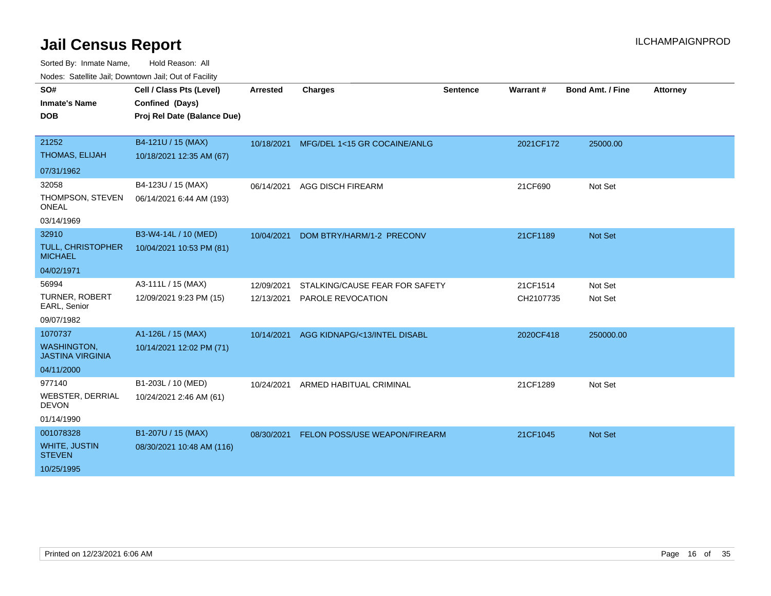| SO#                                           | Cell / Class Pts (Level)    | <b>Arrested</b> | <b>Charges</b>                 | <b>Sentence</b> | Warrant#  | <b>Bond Amt. / Fine</b> | <b>Attorney</b> |
|-----------------------------------------------|-----------------------------|-----------------|--------------------------------|-----------------|-----------|-------------------------|-----------------|
| <b>Inmate's Name</b>                          | Confined (Days)             |                 |                                |                 |           |                         |                 |
| <b>DOB</b>                                    | Proj Rel Date (Balance Due) |                 |                                |                 |           |                         |                 |
|                                               |                             |                 |                                |                 |           |                         |                 |
| 21252                                         | B4-121U / 15 (MAX)          | 10/18/2021      | MFG/DEL 1<15 GR COCAINE/ANLG   |                 | 2021CF172 | 25000.00                |                 |
| <b>THOMAS, ELIJAH</b>                         | 10/18/2021 12:35 AM (67)    |                 |                                |                 |           |                         |                 |
| 07/31/1962                                    |                             |                 |                                |                 |           |                         |                 |
| 32058                                         | B4-123U / 15 (MAX)          | 06/14/2021      | <b>AGG DISCH FIREARM</b>       |                 | 21CF690   | Not Set                 |                 |
| THOMPSON, STEVEN<br><b>ONEAL</b>              | 06/14/2021 6:44 AM (193)    |                 |                                |                 |           |                         |                 |
| 03/14/1969                                    |                             |                 |                                |                 |           |                         |                 |
| 32910                                         | B3-W4-14L / 10 (MED)        | 10/04/2021      | DOM BTRY/HARM/1-2 PRECONV      |                 | 21CF1189  | Not Set                 |                 |
| <b>TULL, CHRISTOPHER</b><br><b>MICHAEL</b>    | 10/04/2021 10:53 PM (81)    |                 |                                |                 |           |                         |                 |
| 04/02/1971                                    |                             |                 |                                |                 |           |                         |                 |
| 56994                                         | A3-111L / 15 (MAX)          | 12/09/2021      | STALKING/CAUSE FEAR FOR SAFETY |                 | 21CF1514  | Not Set                 |                 |
| <b>TURNER, ROBERT</b><br>EARL, Senior         | 12/09/2021 9:23 PM (15)     | 12/13/2021      | PAROLE REVOCATION              |                 | CH2107735 | Not Set                 |                 |
| 09/07/1982                                    |                             |                 |                                |                 |           |                         |                 |
| 1070737                                       | A1-126L / 15 (MAX)          | 10/14/2021      | AGG KIDNAPG/<13/INTEL DISABL   |                 | 2020CF418 | 250000.00               |                 |
| <b>WASHINGTON,</b><br><b>JASTINA VIRGINIA</b> | 10/14/2021 12:02 PM (71)    |                 |                                |                 |           |                         |                 |
| 04/11/2000                                    |                             |                 |                                |                 |           |                         |                 |
| 977140                                        | B1-203L / 10 (MED)          | 10/24/2021      | ARMED HABITUAL CRIMINAL        |                 | 21CF1289  | Not Set                 |                 |
| <b>WEBSTER, DERRIAL</b><br><b>DEVON</b>       | 10/24/2021 2:46 AM (61)     |                 |                                |                 |           |                         |                 |
| 01/14/1990                                    |                             |                 |                                |                 |           |                         |                 |
| 001078328                                     | B1-207U / 15 (MAX)          | 08/30/2021      | FELON POSS/USE WEAPON/FIREARM  |                 | 21CF1045  | <b>Not Set</b>          |                 |
| <b>WHITE, JUSTIN</b><br><b>STEVEN</b>         | 08/30/2021 10:48 AM (116)   |                 |                                |                 |           |                         |                 |
| 10/25/1995                                    |                             |                 |                                |                 |           |                         |                 |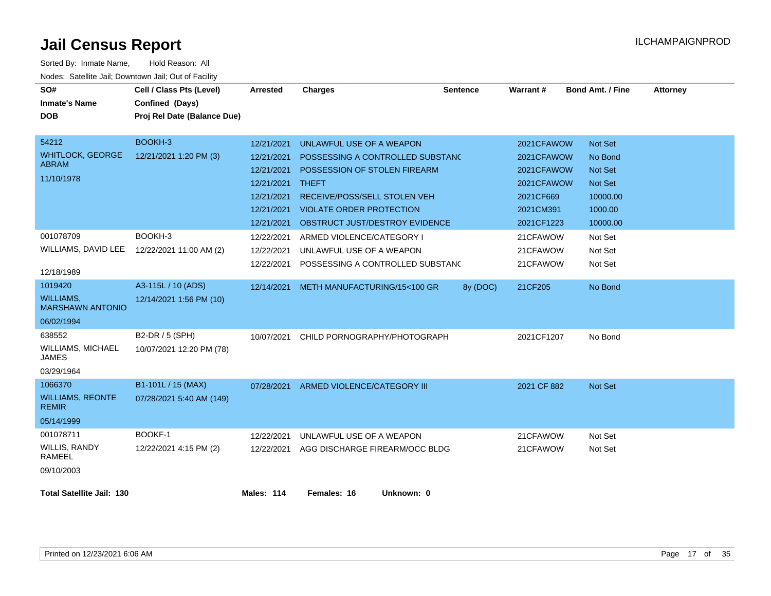| SO#<br><b>Inmate's Name</b><br><b>DOB</b>   | Cell / Class Pts (Level)<br>Confined (Days)<br>Proj Rel Date (Balance Due) | <b>Arrested</b>   | <b>Charges</b>                   | <b>Sentence</b> | Warrant#    | <b>Bond Amt. / Fine</b> | <b>Attorney</b> |
|---------------------------------------------|----------------------------------------------------------------------------|-------------------|----------------------------------|-----------------|-------------|-------------------------|-----------------|
|                                             |                                                                            |                   |                                  |                 |             |                         |                 |
| 54212                                       | BOOKH-3                                                                    | 12/21/2021        | UNLAWFUL USE OF A WEAPON         |                 | 2021CFAWOW  | Not Set                 |                 |
| <b>WHITLOCK, GEORGE</b>                     | 12/21/2021 1:20 PM (3)                                                     | 12/21/2021        | POSSESSING A CONTROLLED SUBSTAND |                 | 2021CFAWOW  | No Bond                 |                 |
| <b>ABRAM</b>                                |                                                                            | 12/21/2021        | POSSESSION OF STOLEN FIREARM     |                 | 2021CFAWOW  | Not Set                 |                 |
| 11/10/1978                                  |                                                                            | 12/21/2021        | <b>THEFT</b>                     |                 | 2021CFAWOW  | <b>Not Set</b>          |                 |
|                                             |                                                                            | 12/21/2021        | RECEIVE/POSS/SELL STOLEN VEH     |                 | 2021CF669   | 10000.00                |                 |
|                                             |                                                                            | 12/21/2021        | <b>VIOLATE ORDER PROTECTION</b>  |                 | 2021CM391   | 1000.00                 |                 |
|                                             |                                                                            | 12/21/2021        | OBSTRUCT JUST/DESTROY EVIDENCE   |                 | 2021CF1223  | 10000.00                |                 |
| 001078709                                   | BOOKH-3                                                                    | 12/22/2021        | ARMED VIOLENCE/CATEGORY I        |                 | 21CFAWOW    | Not Set                 |                 |
| WILLIAMS, DAVID LEE                         | 12/22/2021 11:00 AM (2)                                                    | 12/22/2021        | UNLAWFUL USE OF A WEAPON         |                 | 21CFAWOW    | Not Set                 |                 |
| 12/18/1989                                  |                                                                            | 12/22/2021        | POSSESSING A CONTROLLED SUBSTANC |                 | 21CFAWOW    | Not Set                 |                 |
| 1019420                                     | A3-115L / 10 (ADS)                                                         | 12/14/2021        | METH MANUFACTURING/15<100 GR     | 8y (DOC)        | 21CF205     | No Bond                 |                 |
| <b>WILLIAMS,</b><br><b>MARSHAWN ANTONIO</b> | 12/14/2021 1:56 PM (10)                                                    |                   |                                  |                 |             |                         |                 |
| 06/02/1994                                  |                                                                            |                   |                                  |                 |             |                         |                 |
| 638552                                      | B2-DR / 5 (SPH)                                                            | 10/07/2021        | CHILD PORNOGRAPHY/PHOTOGRAPH     |                 | 2021CF1207  | No Bond                 |                 |
| <b>WILLIAMS, MICHAEL</b><br><b>JAMES</b>    | 10/07/2021 12:20 PM (78)                                                   |                   |                                  |                 |             |                         |                 |
| 03/29/1964                                  |                                                                            |                   |                                  |                 |             |                         |                 |
| 1066370                                     | B1-101L / 15 (MAX)                                                         | 07/28/2021        | ARMED VIOLENCE/CATEGORY III      |                 | 2021 CF 882 | Not Set                 |                 |
| <b>WILLIAMS, REONTE</b><br><b>REMIR</b>     | 07/28/2021 5:40 AM (149)                                                   |                   |                                  |                 |             |                         |                 |
| 05/14/1999                                  |                                                                            |                   |                                  |                 |             |                         |                 |
| 001078711                                   | <b>BOOKF-1</b>                                                             | 12/22/2021        | UNLAWFUL USE OF A WEAPON         |                 | 21CFAWOW    | Not Set                 |                 |
| WILLIS, RANDY<br><b>RAMEEL</b>              | 12/22/2021 4:15 PM (2)                                                     | 12/22/2021        | AGG DISCHARGE FIREARM/OCC BLDG   |                 | 21CFAWOW    | Not Set                 |                 |
| 09/10/2003                                  |                                                                            |                   |                                  |                 |             |                         |                 |
| <b>Total Satellite Jail: 130</b>            |                                                                            | <b>Males: 114</b> | Females: 16<br>Unknown: 0        |                 |             |                         |                 |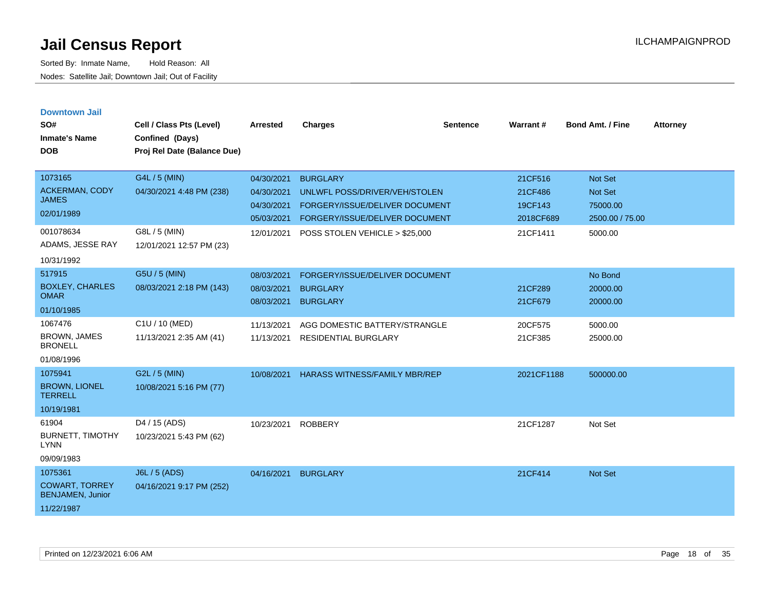| <b>Downtown Jail</b><br>SO#<br><b>Inmate's Name</b><br><b>DOB</b>                               | Cell / Class Pts (Level)<br>Confined (Days)<br>Proj Rel Date (Balance Due)             | <b>Arrested</b>                                                    | <b>Charges</b>                                                                                                                                         | <b>Sentence</b> | Warrant#                                               | <b>Bond Amt. / Fine</b>                                             | <b>Attorney</b> |
|-------------------------------------------------------------------------------------------------|----------------------------------------------------------------------------------------|--------------------------------------------------------------------|--------------------------------------------------------------------------------------------------------------------------------------------------------|-----------------|--------------------------------------------------------|---------------------------------------------------------------------|-----------------|
| 1073165<br><b>ACKERMAN, CODY</b><br><b>JAMES</b><br>02/01/1989<br>001078634<br>ADAMS, JESSE RAY | G4L / 5 (MIN)<br>04/30/2021 4:48 PM (238)<br>G8L / 5 (MIN)<br>12/01/2021 12:57 PM (23) | 04/30/2021<br>04/30/2021<br>04/30/2021<br>05/03/2021<br>12/01/2021 | <b>BURGLARY</b><br>UNLWFL POSS/DRIVER/VEH/STOLEN<br>FORGERY/ISSUE/DELIVER DOCUMENT<br>FORGERY/ISSUE/DELIVER DOCUMENT<br>POSS STOLEN VEHICLE > \$25,000 |                 | 21CF516<br>21CF486<br>19CF143<br>2018CF689<br>21CF1411 | <b>Not Set</b><br>Not Set<br>75000.00<br>2500.00 / 75.00<br>5000.00 |                 |
| 10/31/1992<br>517915<br><b>BOXLEY, CHARLES</b><br><b>OMAR</b><br>01/10/1985                     | G5U / 5 (MIN)<br>08/03/2021 2:18 PM (143)                                              | 08/03/2021<br>08/03/2021<br>08/03/2021                             | FORGERY/ISSUE/DELIVER DOCUMENT<br><b>BURGLARY</b><br><b>BURGLARY</b>                                                                                   |                 | 21CF289<br>21CF679                                     | No Bond<br>20000.00<br>20000.00                                     |                 |
| 1067476<br><b>BROWN, JAMES</b><br><b>BRONELL</b><br>01/08/1996                                  | C1U / 10 (MED)<br>11/13/2021 2:35 AM (41)                                              | 11/13/2021<br>11/13/2021                                           | AGG DOMESTIC BATTERY/STRANGLE<br><b>RESIDENTIAL BURGLARY</b>                                                                                           |                 | 20CF575<br>21CF385                                     | 5000.00<br>25000.00                                                 |                 |
| 1075941<br><b>BROWN, LIONEL</b><br><b>TERRELL</b><br>10/19/1981                                 | G2L / 5 (MIN)<br>10/08/2021 5:16 PM (77)                                               | 10/08/2021                                                         | <b>HARASS WITNESS/FAMILY MBR/REP</b>                                                                                                                   |                 | 2021CF1188                                             | 500000.00                                                           |                 |
| 61904<br><b>BURNETT, TIMOTHY</b><br><b>LYNN</b><br>09/09/1983                                   | D4 / 15 (ADS)<br>10/23/2021 5:43 PM (62)                                               | 10/23/2021                                                         | <b>ROBBERY</b>                                                                                                                                         |                 | 21CF1287                                               | Not Set                                                             |                 |
| 1075361<br><b>COWART, TORREY</b><br><b>BENJAMEN, Junior</b><br>11/22/1987                       | <b>J6L / 5 (ADS)</b><br>04/16/2021 9:17 PM (252)                                       | 04/16/2021                                                         | <b>BURGLARY</b>                                                                                                                                        |                 | 21CF414                                                | Not Set                                                             |                 |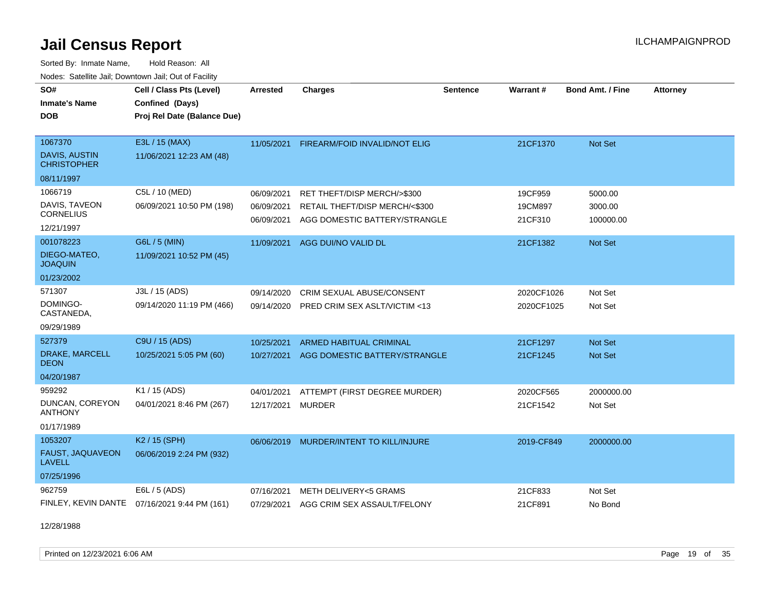Sorted By: Inmate Name, Hold Reason: All Nodes: Satellite Jail; Downtown Jail; Out of Facility

| SO#<br><b>Inmate's Name</b><br><b>DOB</b>  | Cell / Class Pts (Level)<br>Confined (Days)<br>Proj Rel Date (Balance Due) | <b>Arrested</b> | <b>Charges</b>                          | <b>Sentence</b> | Warrant#   | <b>Bond Amt. / Fine</b> | <b>Attorney</b> |
|--------------------------------------------|----------------------------------------------------------------------------|-----------------|-----------------------------------------|-----------------|------------|-------------------------|-----------------|
|                                            |                                                                            |                 |                                         |                 |            |                         |                 |
| 1067370                                    | E3L / 15 (MAX)                                                             | 11/05/2021      | FIREARM/FOID INVALID/NOT ELIG           |                 | 21CF1370   | <b>Not Set</b>          |                 |
| <b>DAVIS, AUSTIN</b><br><b>CHRISTOPHER</b> | 11/06/2021 12:23 AM (48)                                                   |                 |                                         |                 |            |                         |                 |
| 08/11/1997                                 |                                                                            |                 |                                         |                 |            |                         |                 |
| 1066719                                    | C5L / 10 (MED)                                                             | 06/09/2021      | RET THEFT/DISP MERCH/>\$300             |                 | 19CF959    | 5000.00                 |                 |
| DAVIS, TAVEON                              | 06/09/2021 10:50 PM (198)                                                  | 06/09/2021      | RETAIL THEFT/DISP MERCH/<\$300          |                 | 19CM897    | 3000.00                 |                 |
| <b>CORNELIUS</b>                           |                                                                            | 06/09/2021      | AGG DOMESTIC BATTERY/STRANGLE           |                 | 21CF310    | 100000.00               |                 |
| 12/21/1997                                 |                                                                            |                 |                                         |                 |            |                         |                 |
| 001078223                                  | G6L / 5 (MIN)                                                              | 11/09/2021      | AGG DUI/NO VALID DL                     |                 | 21CF1382   | <b>Not Set</b>          |                 |
| DIEGO-MATEO,<br><b>JOAQUIN</b>             | 11/09/2021 10:52 PM (45)                                                   |                 |                                         |                 |            |                         |                 |
| 01/23/2002                                 |                                                                            |                 |                                         |                 |            |                         |                 |
| 571307                                     | J3L / 15 (ADS)                                                             | 09/14/2020      | <b>CRIM SEXUAL ABUSE/CONSENT</b>        |                 | 2020CF1026 | Not Set                 |                 |
| DOMINGO-<br>CASTANEDA,                     | 09/14/2020 11:19 PM (466)                                                  | 09/14/2020      | <b>PRED CRIM SEX ASLT/VICTIM &lt;13</b> |                 | 2020CF1025 | Not Set                 |                 |
| 09/29/1989                                 |                                                                            |                 |                                         |                 |            |                         |                 |
| 527379                                     | C9U / 15 (ADS)                                                             | 10/25/2021      | ARMED HABITUAL CRIMINAL                 |                 | 21CF1297   | <b>Not Set</b>          |                 |
| DRAKE, MARCELL<br><b>DEON</b>              | 10/25/2021 5:05 PM (60)                                                    | 10/27/2021      | AGG DOMESTIC BATTERY/STRANGLE           |                 | 21CF1245   | <b>Not Set</b>          |                 |
| 04/20/1987                                 |                                                                            |                 |                                         |                 |            |                         |                 |
| 959292                                     | K1 / 15 (ADS)                                                              | 04/01/2021      | ATTEMPT (FIRST DEGREE MURDER)           |                 | 2020CF565  | 2000000.00              |                 |
| DUNCAN, COREYON<br><b>ANTHONY</b>          | 04/01/2021 8:46 PM (267)                                                   | 12/17/2021      | <b>MURDER</b>                           |                 | 21CF1542   | Not Set                 |                 |
| 01/17/1989                                 |                                                                            |                 |                                         |                 |            |                         |                 |
| 1053207                                    | K <sub>2</sub> / 15 (SPH)                                                  | 06/06/2019      | MURDER/INTENT TO KILL/INJURE            |                 | 2019-CF849 | 2000000.00              |                 |
| <b>FAUST, JAQUAVEON</b><br><b>LAVELL</b>   | 06/06/2019 2:24 PM (932)                                                   |                 |                                         |                 |            |                         |                 |
| 07/25/1996                                 |                                                                            |                 |                                         |                 |            |                         |                 |
| 962759                                     | E6L / 5 (ADS)                                                              | 07/16/2021      | METH DELIVERY<5 GRAMS                   |                 | 21CF833    | Not Set                 |                 |
|                                            | FINLEY, KEVIN DANTE 07/16/2021 9:44 PM (161)                               | 07/29/2021      | AGG CRIM SEX ASSAULT/FELONY             |                 | 21CF891    | No Bond                 |                 |

12/28/1988

Printed on 12/23/2021 6:06 AM **Page 19 of 35**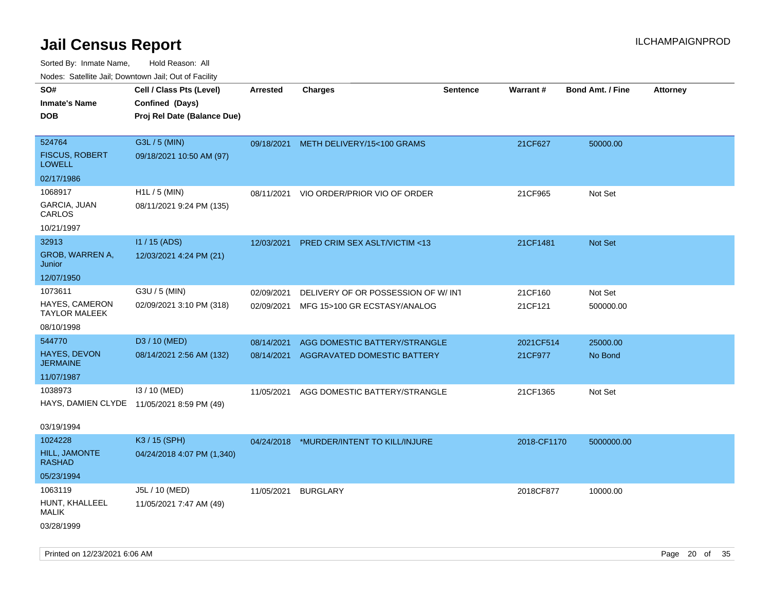Sorted By: Inmate Name, Hold Reason: All Nodes: Satellite Jail; Downtown Jail; Out of Facility

| Nudes. Satellite Jali, Downtown Jali, Out of Facility |                                            |                 |                                     |                 |                 |                         |                 |
|-------------------------------------------------------|--------------------------------------------|-----------------|-------------------------------------|-----------------|-----------------|-------------------------|-----------------|
| SO#                                                   | Cell / Class Pts (Level)                   | <b>Arrested</b> | <b>Charges</b>                      | <b>Sentence</b> | <b>Warrant#</b> | <b>Bond Amt. / Fine</b> | <b>Attorney</b> |
| <b>Inmate's Name</b>                                  | Confined (Days)                            |                 |                                     |                 |                 |                         |                 |
| <b>DOB</b>                                            | Proj Rel Date (Balance Due)                |                 |                                     |                 |                 |                         |                 |
|                                                       |                                            |                 |                                     |                 |                 |                         |                 |
| 524764                                                | G3L / 5 (MIN)                              | 09/18/2021      | METH DELIVERY/15<100 GRAMS          |                 | 21CF627         | 50000.00                |                 |
| <b>FISCUS, ROBERT</b><br>LOWELL                       | 09/18/2021 10:50 AM (97)                   |                 |                                     |                 |                 |                         |                 |
| 02/17/1986                                            |                                            |                 |                                     |                 |                 |                         |                 |
| 1068917                                               | $H1L / 5$ (MIN)                            | 08/11/2021      | VIO ORDER/PRIOR VIO OF ORDER        |                 | 21CF965         | Not Set                 |                 |
| GARCIA, JUAN<br>CARLOS                                | 08/11/2021 9:24 PM (135)                   |                 |                                     |                 |                 |                         |                 |
| 10/21/1997                                            |                                            |                 |                                     |                 |                 |                         |                 |
| 32913                                                 | $11/15$ (ADS)                              | 12/03/2021      | PRED CRIM SEX ASLT/VICTIM <13       |                 | 21CF1481        | Not Set                 |                 |
| GROB, WARREN A,<br>Junior                             | 12/03/2021 4:24 PM (21)                    |                 |                                     |                 |                 |                         |                 |
| 12/07/1950                                            |                                            |                 |                                     |                 |                 |                         |                 |
| 1073611                                               | G3U / 5 (MIN)                              | 02/09/2021      | DELIVERY OF OR POSSESSION OF W/ INT |                 | 21CF160         | Not Set                 |                 |
| <b>HAYES, CAMERON</b><br>TAYLOR MALEEK                | 02/09/2021 3:10 PM (318)                   | 02/09/2021      | MFG 15>100 GR ECSTASY/ANALOG        |                 | 21CF121         | 500000.00               |                 |
| 08/10/1998                                            |                                            |                 |                                     |                 |                 |                         |                 |
| 544770                                                | D3 / 10 (MED)                              | 08/14/2021      | AGG DOMESTIC BATTERY/STRANGLE       |                 | 2021CF514       | 25000.00                |                 |
| HAYES, DEVON<br>JERMAINE                              | 08/14/2021 2:56 AM (132)                   | 08/14/2021      | AGGRAVATED DOMESTIC BATTERY         |                 | 21CF977         | No Bond                 |                 |
| 11/07/1987                                            |                                            |                 |                                     |                 |                 |                         |                 |
| 1038973                                               | I3 / 10 (MED)                              | 11/05/2021      | AGG DOMESTIC BATTERY/STRANGLE       |                 | 21CF1365        | Not Set                 |                 |
|                                                       | HAYS, DAMIEN CLYDE 11/05/2021 8:59 PM (49) |                 |                                     |                 |                 |                         |                 |
|                                                       |                                            |                 |                                     |                 |                 |                         |                 |
| 03/19/1994                                            |                                            |                 |                                     |                 |                 |                         |                 |
| 1024228                                               | K3 / 15 (SPH)                              | 04/24/2018      | *MURDER/INTENT TO KILL/INJURE       |                 | 2018-CF1170     | 5000000.00              |                 |
| <b>HILL, JAMONTE</b><br>RASHAD                        | 04/24/2018 4:07 PM (1,340)                 |                 |                                     |                 |                 |                         |                 |
| 05/23/1994                                            |                                            |                 |                                     |                 |                 |                         |                 |
| 1063119                                               | J5L / 10 (MED)                             | 11/05/2021      | <b>BURGLARY</b>                     |                 | 2018CF877       | 10000.00                |                 |
| HUNT, KHALLEEL<br>MALIK                               | 11/05/2021 7:47 AM (49)                    |                 |                                     |                 |                 |                         |                 |
| 03/28/1999                                            |                                            |                 |                                     |                 |                 |                         |                 |
|                                                       |                                            |                 |                                     |                 |                 |                         |                 |

Printed on 12/23/2021 6:06 AM Page 20 of 35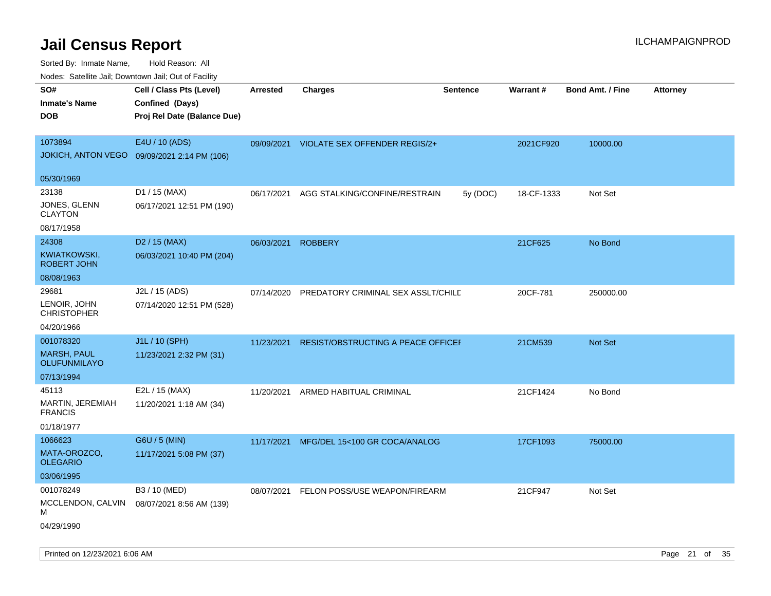Sorted By: Inmate Name, Hold Reason: All Nodes: Satellite Jail; Downtown Jail; Out of Facility

| ivouss. Satellite Jall, Downtown Jall, Out of Facility |                             |                 |                                      |                 |            |                         |                 |
|--------------------------------------------------------|-----------------------------|-----------------|--------------------------------------|-----------------|------------|-------------------------|-----------------|
| SO#                                                    | Cell / Class Pts (Level)    | <b>Arrested</b> | <b>Charges</b>                       | <b>Sentence</b> | Warrant#   | <b>Bond Amt. / Fine</b> | <b>Attorney</b> |
| <b>Inmate's Name</b>                                   | Confined (Days)             |                 |                                      |                 |            |                         |                 |
| <b>DOB</b>                                             | Proj Rel Date (Balance Due) |                 |                                      |                 |            |                         |                 |
| 1073894                                                | E4U / 10 (ADS)              | 09/09/2021      | <b>VIOLATE SEX OFFENDER REGIS/2+</b> |                 | 2021CF920  | 10000.00                |                 |
| <b>JOKICH, ANTON VEGO</b>                              | 09/09/2021 2:14 PM (106)    |                 |                                      |                 |            |                         |                 |
|                                                        |                             |                 |                                      |                 |            |                         |                 |
| 05/30/1969                                             |                             |                 |                                      |                 |            |                         |                 |
| 23138                                                  | D1 / 15 (MAX)               | 06/17/2021      | AGG STALKING/CONFINE/RESTRAIN        | 5y (DOC)        | 18-CF-1333 | Not Set                 |                 |
| JONES, GLENN<br><b>CLAYTON</b>                         | 06/17/2021 12:51 PM (190)   |                 |                                      |                 |            |                         |                 |
| 08/17/1958                                             |                             |                 |                                      |                 |            |                         |                 |
| 24308                                                  | D <sub>2</sub> / 15 (MAX)   | 06/03/2021      | <b>ROBBERY</b>                       |                 | 21CF625    | No Bond                 |                 |
| KWIATKOWSKI,<br><b>ROBERT JOHN</b>                     | 06/03/2021 10:40 PM (204)   |                 |                                      |                 |            |                         |                 |
| 08/08/1963                                             |                             |                 |                                      |                 |            |                         |                 |
| 29681                                                  | J2L / 15 (ADS)              | 07/14/2020      | PREDATORY CRIMINAL SEX ASSLT/CHILD   |                 | 20CF-781   | 250000.00               |                 |
| LENOIR, JOHN<br><b>CHRISTOPHER</b>                     | 07/14/2020 12:51 PM (528)   |                 |                                      |                 |            |                         |                 |
| 04/20/1966                                             |                             |                 |                                      |                 |            |                         |                 |
| 001078320                                              | J1L / 10 (SPH)              | 11/23/2021      | RESIST/OBSTRUCTING A PEACE OFFICEI   |                 | 21CM539    | <b>Not Set</b>          |                 |
| <b>MARSH, PAUL</b><br><b>OLUFUNMILAYO</b>              | 11/23/2021 2:32 PM (31)     |                 |                                      |                 |            |                         |                 |
| 07/13/1994                                             |                             |                 |                                      |                 |            |                         |                 |
| 45113                                                  | E2L / 15 (MAX)              | 11/20/2021      | ARMED HABITUAL CRIMINAL              |                 | 21CF1424   | No Bond                 |                 |
| MARTIN, JEREMIAH<br><b>FRANCIS</b>                     | 11/20/2021 1:18 AM (34)     |                 |                                      |                 |            |                         |                 |
| 01/18/1977                                             |                             |                 |                                      |                 |            |                         |                 |
| 1066623                                                | G6U / 5 (MIN)               | 11/17/2021      | MFG/DEL 15<100 GR COCA/ANALOG        |                 | 17CF1093   | 75000.00                |                 |
| MATA-OROZCO,<br><b>OLEGARIO</b>                        | 11/17/2021 5:08 PM (37)     |                 |                                      |                 |            |                         |                 |
| 03/06/1995                                             |                             |                 |                                      |                 |            |                         |                 |
| 001078249                                              | B3 / 10 (MED)               | 08/07/2021      | FELON POSS/USE WEAPON/FIREARM        |                 | 21CF947    | Not Set                 |                 |
| MCCLENDON, CALVIN<br>М                                 | 08/07/2021 8:56 AM (139)    |                 |                                      |                 |            |                         |                 |
| 04/29/1990                                             |                             |                 |                                      |                 |            |                         |                 |

Printed on 12/23/2021 6:06 AM Page 21 of 35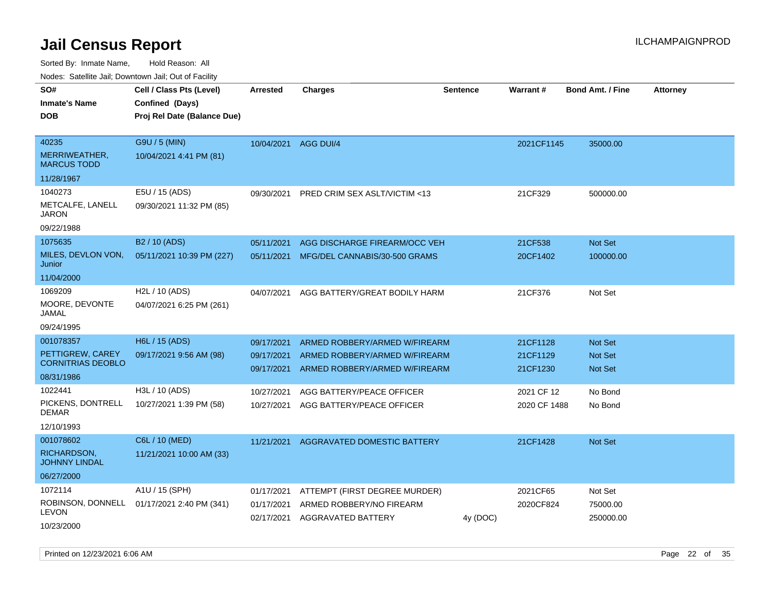Sorted By: Inmate Name, Hold Reason: All

Nodes: Satellite Jail; Downtown Jail; Out of Facility

| SO#<br><b>Inmate's Name</b>                                                        | Cell / Class Pts (Level)<br>Confined (Days)                 | <b>Arrested</b>                                      | <b>Charges</b>                                                                                                               | <b>Sentence</b> | <b>Warrant#</b>                                | <b>Bond Amt. / Fine</b>                                | <b>Attorney</b> |
|------------------------------------------------------------------------------------|-------------------------------------------------------------|------------------------------------------------------|------------------------------------------------------------------------------------------------------------------------------|-----------------|------------------------------------------------|--------------------------------------------------------|-----------------|
| <b>DOB</b>                                                                         | Proj Rel Date (Balance Due)                                 |                                                      |                                                                                                                              |                 |                                                |                                                        |                 |
| 40235<br>MERRIWEATHER,<br><b>MARCUS TODD</b><br>11/28/1967                         | G9U / 5 (MIN)<br>10/04/2021 4:41 PM (81)                    | 10/04/2021                                           | AGG DUI/4                                                                                                                    |                 | 2021CF1145                                     | 35000.00                                               |                 |
| 1040273<br>METCALFE, LANELL<br><b>JARON</b><br>09/22/1988                          | E5U / 15 (ADS)<br>09/30/2021 11:32 PM (85)                  | 09/30/2021                                           | <b>PRED CRIM SEX ASLT/VICTIM &lt;13</b>                                                                                      |                 | 21CF329                                        | 500000.00                                              |                 |
| 1075635<br>MILES, DEVLON VON,<br>Junior<br>11/04/2000                              | B <sub>2</sub> / 10 (ADS)<br>05/11/2021 10:39 PM (227)      | 05/11/2021<br>05/11/2021                             | AGG DISCHARGE FIREARM/OCC VEH<br>MFG/DEL CANNABIS/30-500 GRAMS                                                               |                 | 21CF538<br>20CF1402                            | Not Set<br>100000.00                                   |                 |
| 1069209<br>MOORE, DEVONTE<br>JAMAL<br>09/24/1995                                   | H <sub>2</sub> L / 10 (ADS)<br>04/07/2021 6:25 PM (261)     | 04/07/2021                                           | AGG BATTERY/GREAT BODILY HARM                                                                                                |                 | 21CF376                                        | Not Set                                                |                 |
| 001078357<br>PETTIGREW, CAREY<br><b>CORNITRIAS DEOBLO</b><br>08/31/1986<br>1022441 | H6L / 15 (ADS)<br>09/17/2021 9:56 AM (98)<br>H3L / 10 (ADS) | 09/17/2021<br>09/17/2021<br>09/17/2021<br>10/27/2021 | ARMED ROBBERY/ARMED W/FIREARM<br>ARMED ROBBERY/ARMED W/FIREARM<br>ARMED ROBBERY/ARMED W/FIREARM<br>AGG BATTERY/PEACE OFFICER |                 | 21CF1128<br>21CF1129<br>21CF1230<br>2021 CF 12 | <b>Not Set</b><br>Not Set<br><b>Not Set</b><br>No Bond |                 |
| PICKENS, DONTRELL<br><b>DEMAR</b><br>12/10/1993                                    | 10/27/2021 1:39 PM (58)                                     | 10/27/2021                                           | AGG BATTERY/PEACE OFFICER                                                                                                    |                 | 2020 CF 1488                                   | No Bond                                                |                 |
| 001078602<br>RICHARDSON,<br><b>JOHNNY LINDAL</b><br>06/27/2000                     | C6L / 10 (MED)<br>11/21/2021 10:00 AM (33)                  | 11/21/2021                                           | AGGRAVATED DOMESTIC BATTERY                                                                                                  |                 | 21CF1428                                       | <b>Not Set</b>                                         |                 |
| 1072114<br>ROBINSON, DONNELL<br><b>LEVON</b><br>10/23/2000                         | A1U / 15 (SPH)<br>01/17/2021 2:40 PM (341)                  | 01/17/2021<br>01/17/2021<br>02/17/2021               | ATTEMPT (FIRST DEGREE MURDER)<br>ARMED ROBBERY/NO FIREARM<br>AGGRAVATED BATTERY                                              | 4y (DOC)        | 2021CF65<br>2020CF824                          | Not Set<br>75000.00<br>250000.00                       |                 |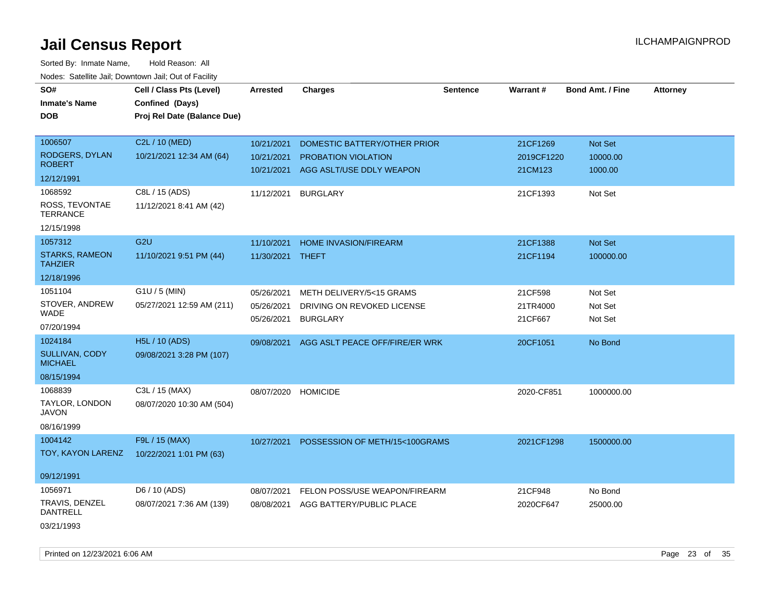| roaco. Catolino cali, Downtown cali, Out of Facility |                                             |                          |                                                 |                 |                       |                         |                 |
|------------------------------------------------------|---------------------------------------------|--------------------------|-------------------------------------------------|-----------------|-----------------------|-------------------------|-----------------|
| SO#<br>Inmate's Name                                 | Cell / Class Pts (Level)<br>Confined (Days) | <b>Arrested</b>          | <b>Charges</b>                                  | <b>Sentence</b> | Warrant#              | <b>Bond Amt. / Fine</b> | <b>Attorney</b> |
| DOB                                                  | Proj Rel Date (Balance Due)                 |                          |                                                 |                 |                       |                         |                 |
| 1006507                                              | C2L / 10 (MED)                              | 10/21/2021               | DOMESTIC BATTERY/OTHER PRIOR                    |                 | 21CF1269              | Not Set                 |                 |
| RODGERS, DYLAN<br><b>ROBERT</b>                      | 10/21/2021 12:34 AM (64)                    | 10/21/2021<br>10/21/2021 | PROBATION VIOLATION<br>AGG ASLT/USE DDLY WEAPON |                 | 2019CF1220<br>21CM123 | 10000.00<br>1000.00     |                 |
| 12/12/1991                                           |                                             |                          |                                                 |                 |                       |                         |                 |
| 1068592<br>ROSS, TEVONTAE<br><b>TERRANCE</b>         | C8L / 15 (ADS)<br>11/12/2021 8:41 AM (42)   | 11/12/2021               | <b>BURGLARY</b>                                 |                 | 21CF1393              | Not Set                 |                 |
| 12/15/1998                                           |                                             |                          |                                                 |                 |                       |                         |                 |
| 1057312                                              | G <sub>2U</sub>                             | 11/10/2021               | <b>HOME INVASION/FIREARM</b>                    |                 | 21CF1388              | Not Set                 |                 |
| <b>STARKS, RAMEON</b><br><b>TAHZIER</b>              | 11/10/2021 9:51 PM (44)                     | 11/30/2021               | THEFT                                           |                 | 21CF1194              | 100000.00               |                 |
| 12/18/1996                                           |                                             |                          |                                                 |                 |                       |                         |                 |
| 1051104                                              | G1U / 5 (MIN)                               | 05/26/2021               | METH DELIVERY/5<15 GRAMS                        |                 | 21CF598               | Not Set                 |                 |
| STOVER, ANDREW<br>WADE                               | 05/27/2021 12:59 AM (211)                   | 05/26/2021<br>05/26/2021 | DRIVING ON REVOKED LICENSE<br><b>BURGLARY</b>   |                 | 21TR4000<br>21CF667   | Not Set<br>Not Set      |                 |
| 07/20/1994                                           |                                             |                          |                                                 |                 |                       |                         |                 |
| 1024184                                              | H5L / 10 (ADS)                              | 09/08/2021               | AGG ASLT PEACE OFF/FIRE/ER WRK                  |                 | 20CF1051              | No Bond                 |                 |
| <b>SULLIVAN, CODY</b><br><b>MICHAEL</b>              | 09/08/2021 3:28 PM (107)                    |                          |                                                 |                 |                       |                         |                 |
| 08/15/1994                                           |                                             |                          |                                                 |                 |                       |                         |                 |
| 1068839<br>TAYLOR, LONDON                            | C3L / 15 (MAX)<br>08/07/2020 10:30 AM (504) | 08/07/2020               | <b>HOMICIDE</b>                                 |                 | 2020-CF851            | 1000000.00              |                 |
| <b>JAVON</b><br>08/16/1999                           |                                             |                          |                                                 |                 |                       |                         |                 |
| 1004142                                              | F9L / 15 (MAX)                              | 10/27/2021               | POSSESSION OF METH/15<100GRAMS                  |                 | 2021CF1298            | 1500000.00              |                 |
| TOY, KAYON LARENZ                                    | 10/22/2021 1:01 PM (63)                     |                          |                                                 |                 |                       |                         |                 |
| 09/12/1991                                           |                                             |                          |                                                 |                 |                       |                         |                 |
| 1056971                                              | D6 / 10 (ADS)                               | 08/07/2021               | FELON POSS/USE WEAPON/FIREARM                   |                 | 21CF948               | No Bond                 |                 |
| TRAVIS, DENZEL<br><b>DANTRELL</b>                    | 08/07/2021 7:36 AM (139)                    | 08/08/2021               | AGG BATTERY/PUBLIC PLACE                        |                 | 2020CF647             | 25000.00                |                 |
| 03/21/1993                                           |                                             |                          |                                                 |                 |                       |                         |                 |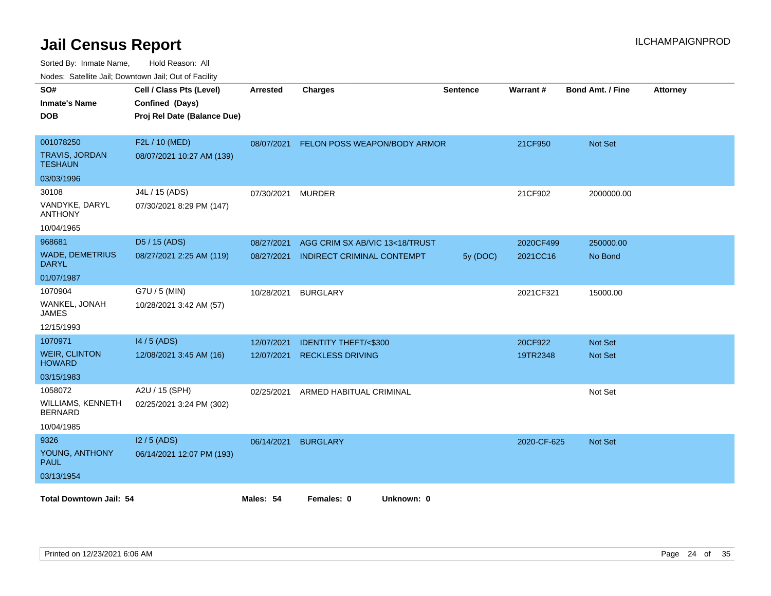| SO#<br><b>Inmate's Name</b><br><b>DOB</b>     | Cell / Class Pts (Level)<br>Confined (Days)<br>Proj Rel Date (Balance Due) | <b>Arrested</b> | <b>Charges</b>                  | <b>Sentence</b> | Warrant#    | <b>Bond Amt. / Fine</b> | <b>Attorney</b> |
|-----------------------------------------------|----------------------------------------------------------------------------|-----------------|---------------------------------|-----------------|-------------|-------------------------|-----------------|
| 001078250<br><b>TRAVIS, JORDAN</b><br>TESHAUN | F2L / 10 (MED)<br>08/07/2021 10:27 AM (139)                                | 08/07/2021      | FELON POSS WEAPON/BODY ARMOR    |                 | 21CF950     | <b>Not Set</b>          |                 |
| 03/03/1996                                    |                                                                            |                 |                                 |                 |             |                         |                 |
| 30108                                         | J4L / 15 (ADS)                                                             | 07/30/2021      | <b>MURDER</b>                   |                 | 21CF902     | 2000000.00              |                 |
| VANDYKE, DARYL<br><b>ANTHONY</b>              | 07/30/2021 8:29 PM (147)                                                   |                 |                                 |                 |             |                         |                 |
| 10/04/1965                                    |                                                                            |                 |                                 |                 |             |                         |                 |
| 968681                                        | D5 / 15 (ADS)                                                              | 08/27/2021      | AGG CRIM SX AB/VIC 13<18/TRUST  |                 | 2020CF499   | 250000.00               |                 |
| <b>WADE, DEMETRIUS</b><br><b>DARYL</b>        | 08/27/2021 2:25 AM (119)                                                   | 08/27/2021      | INDIRECT CRIMINAL CONTEMPT      | 5y (DOC)        | 2021CC16    | No Bond                 |                 |
| 01/07/1987                                    |                                                                            |                 |                                 |                 |             |                         |                 |
| 1070904                                       | G7U / 5 (MIN)                                                              | 10/28/2021      | <b>BURGLARY</b>                 |                 | 2021CF321   | 15000.00                |                 |
| WANKEL, JONAH<br>JAMES                        | 10/28/2021 3:42 AM (57)                                                    |                 |                                 |                 |             |                         |                 |
| 12/15/1993                                    |                                                                            |                 |                                 |                 |             |                         |                 |
| 1070971                                       | 14 / 5 (ADS)                                                               | 12/07/2021      | <b>IDENTITY THEFT/&lt;\$300</b> |                 | 20CF922     | <b>Not Set</b>          |                 |
| <b>WEIR, CLINTON</b><br><b>HOWARD</b>         | 12/08/2021 3:45 AM (16)                                                    | 12/07/2021      | <b>RECKLESS DRIVING</b>         |                 | 19TR2348    | Not Set                 |                 |
| 03/15/1983                                    |                                                                            |                 |                                 |                 |             |                         |                 |
| 1058072                                       | A2U / 15 (SPH)                                                             | 02/25/2021      | ARMED HABITUAL CRIMINAL         |                 |             | Not Set                 |                 |
| WILLIAMS, KENNETH<br><b>BERNARD</b>           | 02/25/2021 3:24 PM (302)                                                   |                 |                                 |                 |             |                         |                 |
| 10/04/1985                                    |                                                                            |                 |                                 |                 |             |                         |                 |
| 9326                                          | $12/5$ (ADS)                                                               | 06/14/2021      | <b>BURGLARY</b>                 |                 | 2020-CF-625 | <b>Not Set</b>          |                 |
| YOUNG, ANTHONY<br><b>PAUL</b>                 | 06/14/2021 12:07 PM (193)                                                  |                 |                                 |                 |             |                         |                 |
| 03/13/1954                                    |                                                                            |                 |                                 |                 |             |                         |                 |
| <b>Total Downtown Jail: 54</b>                |                                                                            | Males: 54       | Females: 0<br>Unknown: 0        |                 |             |                         |                 |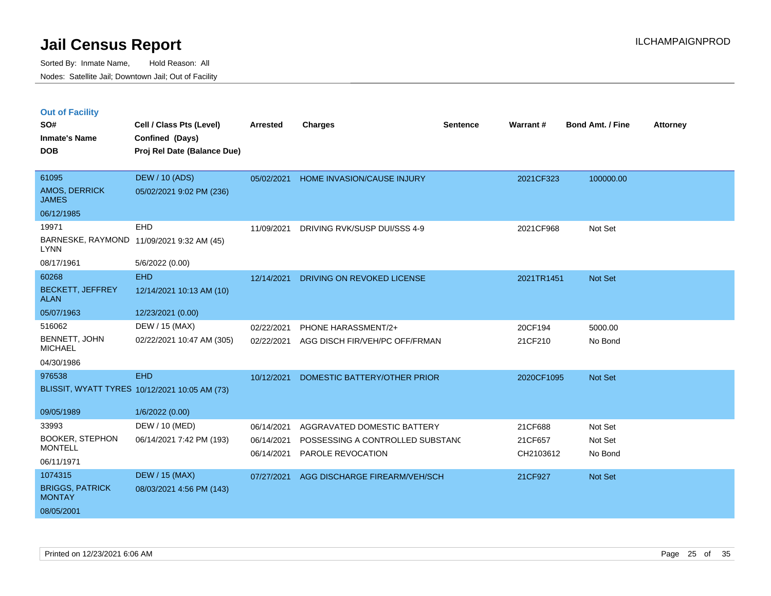|  | <b>Out of Facility</b> |  |
|--|------------------------|--|

| SO#<br><b>Inmate's Name</b>             | Cell / Class Pts (Level)<br>Confined (Days)   | <b>Arrested</b> | <b>Charges</b>                   | <b>Sentence</b> | Warrant#   | <b>Bond Amt. / Fine</b> | <b>Attorney</b> |
|-----------------------------------------|-----------------------------------------------|-----------------|----------------------------------|-----------------|------------|-------------------------|-----------------|
| <b>DOB</b>                              | Proj Rel Date (Balance Due)                   |                 |                                  |                 |            |                         |                 |
| 61095                                   | <b>DEW / 10 (ADS)</b>                         | 05/02/2021      | HOME INVASION/CAUSE INJURY       |                 | 2021CF323  | 100000.00               |                 |
| AMOS, DERRICK<br><b>JAMES</b>           | 05/02/2021 9:02 PM (236)                      |                 |                                  |                 |            |                         |                 |
| 06/12/1985                              |                                               |                 |                                  |                 |            |                         |                 |
| 19971                                   | <b>EHD</b>                                    | 11/09/2021      | DRIVING RVK/SUSP DUI/SSS 4-9     |                 | 2021CF968  | Not Set                 |                 |
| <b>LYNN</b>                             | BARNESKE, RAYMOND 11/09/2021 9:32 AM (45)     |                 |                                  |                 |            |                         |                 |
| 08/17/1961                              | 5/6/2022 (0.00)                               |                 |                                  |                 |            |                         |                 |
| 60268                                   | <b>EHD</b>                                    | 12/14/2021      | DRIVING ON REVOKED LICENSE       |                 | 2021TR1451 | Not Set                 |                 |
| <b>BECKETT, JEFFREY</b><br><b>ALAN</b>  | 12/14/2021 10:13 AM (10)                      |                 |                                  |                 |            |                         |                 |
| 05/07/1963                              | 12/23/2021 (0.00)                             |                 |                                  |                 |            |                         |                 |
| 516062                                  | DEW / 15 (MAX)                                | 02/22/2021      | PHONE HARASSMENT/2+              |                 | 20CF194    | 5000.00                 |                 |
| BENNETT, JOHN<br><b>MICHAEL</b>         | 02/22/2021 10:47 AM (305)                     | 02/22/2021      | AGG DISCH FIR/VEH/PC OFF/FRMAN   |                 | 21CF210    | No Bond                 |                 |
| 04/30/1986                              |                                               |                 |                                  |                 |            |                         |                 |
| 976538                                  | <b>EHD</b>                                    | 10/12/2021      | DOMESTIC BATTERY/OTHER PRIOR     |                 | 2020CF1095 | Not Set                 |                 |
|                                         | BLISSIT, WYATT TYRES 10/12/2021 10:05 AM (73) |                 |                                  |                 |            |                         |                 |
| 09/05/1989                              | 1/6/2022 (0.00)                               |                 |                                  |                 |            |                         |                 |
| 33993                                   | DEW / 10 (MED)                                | 06/14/2021      | AGGRAVATED DOMESTIC BATTERY      |                 | 21CF688    | Not Set                 |                 |
| <b>BOOKER, STEPHON</b>                  | 06/14/2021 7:42 PM (193)                      | 06/14/2021      | POSSESSING A CONTROLLED SUBSTAND |                 | 21CF657    | Not Set                 |                 |
| <b>MONTELL</b>                          |                                               | 06/14/2021      | PAROLE REVOCATION                |                 | CH2103612  | No Bond                 |                 |
| 06/11/1971                              |                                               |                 |                                  |                 |            |                         |                 |
| 1074315                                 | <b>DEW / 15 (MAX)</b>                         | 07/27/2021      | AGG DISCHARGE FIREARM/VEH/SCH    |                 | 21CF927    | Not Set                 |                 |
| <b>BRIGGS, PATRICK</b><br><b>MONTAY</b> | 08/03/2021 4:56 PM (143)                      |                 |                                  |                 |            |                         |                 |
| 08/05/2001                              |                                               |                 |                                  |                 |            |                         |                 |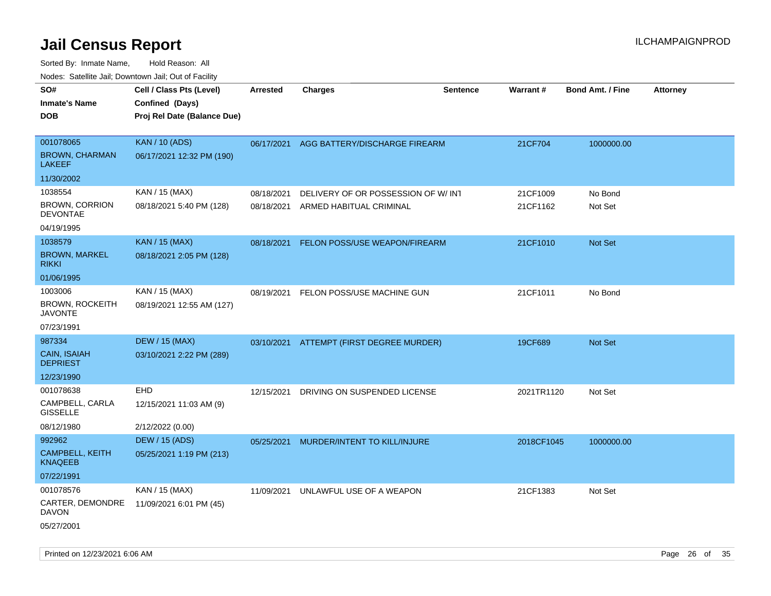| noaco. Catomto can, Domntonn can, Cat or I domt     |                                                                            |                          |                                                               |                 |                      |                         |                 |
|-----------------------------------------------------|----------------------------------------------------------------------------|--------------------------|---------------------------------------------------------------|-----------------|----------------------|-------------------------|-----------------|
| SO#<br><b>Inmate's Name</b><br><b>DOB</b>           | Cell / Class Pts (Level)<br>Confined (Days)<br>Proj Rel Date (Balance Due) | Arrested                 | <b>Charges</b>                                                | <b>Sentence</b> | <b>Warrant#</b>      | <b>Bond Amt. / Fine</b> | <b>Attorney</b> |
| 001078065<br><b>BROWN, CHARMAN</b><br><b>LAKEEF</b> | <b>KAN / 10 (ADS)</b><br>06/17/2021 12:32 PM (190)                         | 06/17/2021               | AGG BATTERY/DISCHARGE FIREARM                                 |                 | 21CF704              | 1000000.00              |                 |
| 11/30/2002                                          |                                                                            |                          |                                                               |                 |                      |                         |                 |
| 1038554<br><b>BROWN, CORRION</b><br><b>DEVONTAE</b> | KAN / 15 (MAX)<br>08/18/2021 5:40 PM (128)                                 | 08/18/2021<br>08/18/2021 | DELIVERY OF OR POSSESSION OF W/INT<br>ARMED HABITUAL CRIMINAL |                 | 21CF1009<br>21CF1162 | No Bond<br>Not Set      |                 |
| 04/19/1995                                          |                                                                            |                          |                                                               |                 |                      |                         |                 |
| 1038579<br><b>BROWN, MARKEL</b><br><b>RIKKI</b>     | <b>KAN / 15 (MAX)</b><br>08/18/2021 2:05 PM (128)                          | 08/18/2021               | FELON POSS/USE WEAPON/FIREARM                                 |                 | 21CF1010             | Not Set                 |                 |
| 01/06/1995                                          |                                                                            |                          |                                                               |                 |                      |                         |                 |
| 1003006<br><b>BROWN, ROCKEITH</b><br><b>JAVONTE</b> | KAN / 15 (MAX)<br>08/19/2021 12:55 AM (127)                                | 08/19/2021               | FELON POSS/USE MACHINE GUN                                    |                 | 21CF1011             | No Bond                 |                 |
| 07/23/1991                                          |                                                                            |                          |                                                               |                 |                      |                         |                 |
| 987334                                              | <b>DEW / 15 (MAX)</b>                                                      |                          | 03/10/2021 ATTEMPT (FIRST DEGREE MURDER)                      |                 | 19CF689              | Not Set                 |                 |
| CAIN, ISAIAH<br><b>DEPRIEST</b>                     | 03/10/2021 2:22 PM (289)                                                   |                          |                                                               |                 |                      |                         |                 |
| 12/23/1990                                          |                                                                            |                          |                                                               |                 |                      |                         |                 |
| 001078638                                           | <b>EHD</b>                                                                 | 12/15/2021               | DRIVING ON SUSPENDED LICENSE                                  |                 | 2021TR1120           | Not Set                 |                 |
| CAMPBELL, CARLA<br><b>GISSELLE</b>                  | 12/15/2021 11:03 AM (9)                                                    |                          |                                                               |                 |                      |                         |                 |
| 08/12/1980                                          | 2/12/2022 (0.00)                                                           |                          |                                                               |                 |                      |                         |                 |
| 992962                                              | <b>DEW / 15 (ADS)</b>                                                      | 05/25/2021               | MURDER/INTENT TO KILL/INJURE                                  |                 | 2018CF1045           | 1000000.00              |                 |
| <b>CAMPBELL, KEITH</b><br><b>KNAQEEB</b>            | 05/25/2021 1:19 PM (213)                                                   |                          |                                                               |                 |                      |                         |                 |
| 07/22/1991                                          |                                                                            |                          |                                                               |                 |                      |                         |                 |
| 001078576                                           | KAN / 15 (MAX)                                                             | 11/09/2021               | UNLAWFUL USE OF A WEAPON                                      |                 | 21CF1383             | Not Set                 |                 |
| CARTER, DEMONDRE<br>DAVON<br>05/27/2001             | 11/09/2021 6:01 PM (45)                                                    |                          |                                                               |                 |                      |                         |                 |
|                                                     |                                                                            |                          |                                                               |                 |                      |                         |                 |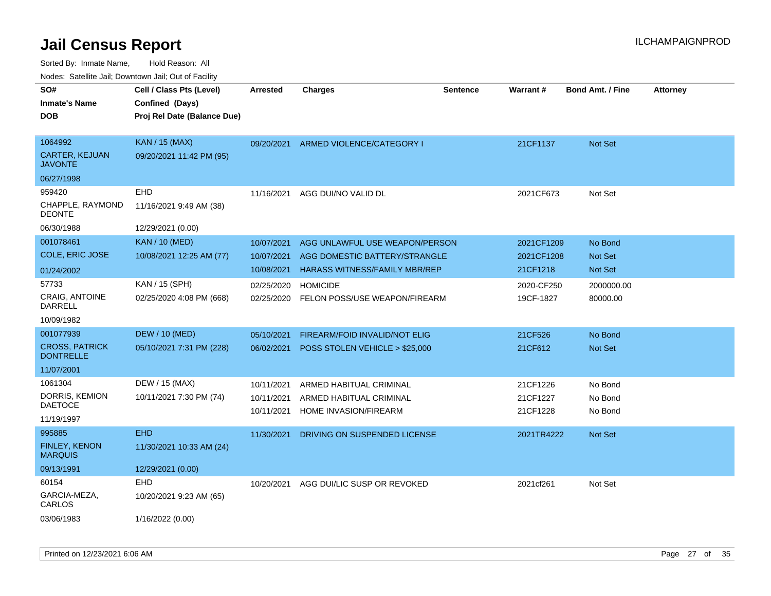| ivouss. Saleling Jali, Downtown Jali, Out of Facility<br>SO# | Cell / Class Pts (Level)    | <b>Arrested</b> | <b>Charges</b>                       | <b>Sentence</b> | <b>Warrant#</b> | <b>Bond Amt. / Fine</b> | <b>Attorney</b> |
|--------------------------------------------------------------|-----------------------------|-----------------|--------------------------------------|-----------------|-----------------|-------------------------|-----------------|
| <b>Inmate's Name</b>                                         | Confined (Days)             |                 |                                      |                 |                 |                         |                 |
| <b>DOB</b>                                                   | Proj Rel Date (Balance Due) |                 |                                      |                 |                 |                         |                 |
|                                                              |                             |                 |                                      |                 |                 |                         |                 |
| 1064992                                                      | KAN / 15 (MAX)              | 09/20/2021      | ARMED VIOLENCE/CATEGORY I            |                 | 21CF1137        | <b>Not Set</b>          |                 |
| <b>CARTER, KEJUAN</b><br><b>JAVONTE</b>                      | 09/20/2021 11:42 PM (95)    |                 |                                      |                 |                 |                         |                 |
| 06/27/1998                                                   |                             |                 |                                      |                 |                 |                         |                 |
| 959420                                                       | <b>EHD</b>                  | 11/16/2021      | AGG DUI/NO VALID DL                  |                 | 2021CF673       | Not Set                 |                 |
| <b>CHAPPLE, RAYMOND</b><br><b>DEONTE</b>                     | 11/16/2021 9:49 AM (38)     |                 |                                      |                 |                 |                         |                 |
| 06/30/1988                                                   | 12/29/2021 (0.00)           |                 |                                      |                 |                 |                         |                 |
| 001078461                                                    | <b>KAN / 10 (MED)</b>       | 10/07/2021      | AGG UNLAWFUL USE WEAPON/PERSON       |                 | 2021CF1209      | No Bond                 |                 |
| COLE, ERIC JOSE                                              | 10/08/2021 12:25 AM (77)    | 10/07/2021      | AGG DOMESTIC BATTERY/STRANGLE        |                 | 2021CF1208      | <b>Not Set</b>          |                 |
| 01/24/2002                                                   |                             | 10/08/2021      | <b>HARASS WITNESS/FAMILY MBR/REP</b> |                 | 21CF1218        | Not Set                 |                 |
| 57733                                                        | KAN / 15 (SPH)              | 02/25/2020      | <b>HOMICIDE</b>                      |                 | 2020-CF250      | 2000000.00              |                 |
| <b>CRAIG, ANTOINE</b><br>DARRELL                             | 02/25/2020 4:08 PM (668)    | 02/25/2020      | FELON POSS/USE WEAPON/FIREARM        |                 | 19CF-1827       | 80000.00                |                 |
| 10/09/1982                                                   |                             |                 |                                      |                 |                 |                         |                 |
| 001077939                                                    | <b>DEW / 10 (MED)</b>       | 05/10/2021      | <b>FIREARM/FOID INVALID/NOT ELIG</b> |                 | 21CF526         | No Bond                 |                 |
| <b>CROSS, PATRICK</b><br><b>DONTRELLE</b>                    | 05/10/2021 7:31 PM (228)    | 06/02/2021      | POSS STOLEN VEHICLE > \$25,000       |                 | 21CF612         | Not Set                 |                 |
| 11/07/2001                                                   |                             |                 |                                      |                 |                 |                         |                 |
| 1061304                                                      | DEW / 15 (MAX)              | 10/11/2021      | ARMED HABITUAL CRIMINAL              |                 | 21CF1226        | No Bond                 |                 |
| DORRIS, KEMION                                               | 10/11/2021 7:30 PM (74)     | 10/11/2021      | ARMED HABITUAL CRIMINAL              |                 | 21CF1227        | No Bond                 |                 |
| <b>DAETOCE</b>                                               |                             | 10/11/2021      | HOME INVASION/FIREARM                |                 | 21CF1228        | No Bond                 |                 |
| 11/19/1997                                                   |                             |                 |                                      |                 |                 |                         |                 |
| 995885                                                       | <b>EHD</b>                  | 11/30/2021      | DRIVING ON SUSPENDED LICENSE         |                 | 2021TR4222      | <b>Not Set</b>          |                 |
| FINLEY, KENON<br><b>MARQUIS</b>                              | 11/30/2021 10:33 AM (24)    |                 |                                      |                 |                 |                         |                 |
| 09/13/1991                                                   | 12/29/2021 (0.00)           |                 |                                      |                 |                 |                         |                 |
| 60154                                                        | EHD                         | 10/20/2021      | AGG DUI/LIC SUSP OR REVOKED          |                 | 2021cf261       | Not Set                 |                 |
| GARCIA-MEZA,<br>CARLOS                                       | 10/20/2021 9:23 AM (65)     |                 |                                      |                 |                 |                         |                 |
| 03/06/1983                                                   | 1/16/2022 (0.00)            |                 |                                      |                 |                 |                         |                 |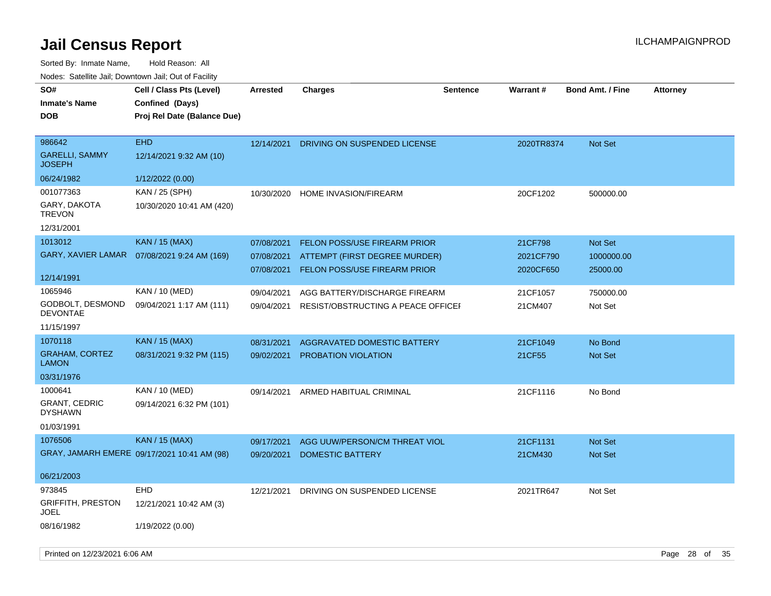| SO#<br><b>Inmate's Name</b><br><b>DOB</b> | Cell / Class Pts (Level)<br>Confined (Days)<br>Proj Rel Date (Balance Due) | <b>Arrested</b> | <b>Charges</b>                      | <b>Sentence</b> | Warrant#   | <b>Bond Amt. / Fine</b> | <b>Attorney</b> |
|-------------------------------------------|----------------------------------------------------------------------------|-----------------|-------------------------------------|-----------------|------------|-------------------------|-----------------|
|                                           |                                                                            |                 |                                     |                 |            |                         |                 |
| 986642                                    | <b>EHD</b>                                                                 | 12/14/2021      | DRIVING ON SUSPENDED LICENSE        |                 | 2020TR8374 | Not Set                 |                 |
| <b>GARELLI, SAMMY</b><br><b>JOSEPH</b>    | 12/14/2021 9:32 AM (10)                                                    |                 |                                     |                 |            |                         |                 |
| 06/24/1982                                | 1/12/2022 (0.00)                                                           |                 |                                     |                 |            |                         |                 |
| 001077363                                 | KAN / 25 (SPH)                                                             | 10/30/2020      | HOME INVASION/FIREARM               |                 | 20CF1202   | 500000.00               |                 |
| GARY, DAKOTA<br><b>TREVON</b>             | 10/30/2020 10:41 AM (420)                                                  |                 |                                     |                 |            |                         |                 |
| 12/31/2001                                |                                                                            |                 |                                     |                 |            |                         |                 |
| 1013012                                   | <b>KAN / 15 (MAX)</b>                                                      | 07/08/2021      | <b>FELON POSS/USE FIREARM PRIOR</b> |                 | 21CF798    | Not Set                 |                 |
| GARY, XAVIER LAMAR                        | 07/08/2021 9:24 AM (169)                                                   | 07/08/2021      | ATTEMPT (FIRST DEGREE MURDER)       |                 | 2021CF790  | 1000000.00              |                 |
|                                           |                                                                            | 07/08/2021      | <b>FELON POSS/USE FIREARM PRIOR</b> |                 | 2020CF650  | 25000.00                |                 |
| 12/14/1991                                |                                                                            |                 |                                     |                 |            |                         |                 |
| 1065946                                   | KAN / 10 (MED)                                                             | 09/04/2021      | AGG BATTERY/DISCHARGE FIREARM       |                 | 21CF1057   | 750000.00               |                 |
| GODBOLT, DESMOND<br><b>DEVONTAE</b>       | 09/04/2021 1:17 AM (111)                                                   | 09/04/2021      | RESIST/OBSTRUCTING A PEACE OFFICEF  |                 | 21CM407    | Not Set                 |                 |
| 11/15/1997                                |                                                                            |                 |                                     |                 |            |                         |                 |
| 1070118                                   | <b>KAN / 15 (MAX)</b>                                                      | 08/31/2021      | AGGRAVATED DOMESTIC BATTERY         |                 | 21CF1049   | No Bond                 |                 |
| <b>GRAHAM, CORTEZ</b><br><b>LAMON</b>     | 08/31/2021 9:32 PM (115)                                                   | 09/02/2021      | <b>PROBATION VIOLATION</b>          |                 | 21CF55     | <b>Not Set</b>          |                 |
| 03/31/1976                                |                                                                            |                 |                                     |                 |            |                         |                 |
| 1000641                                   | KAN / 10 (MED)                                                             | 09/14/2021      | ARMED HABITUAL CRIMINAL             |                 | 21CF1116   | No Bond                 |                 |
| <b>GRANT, CEDRIC</b><br><b>DYSHAWN</b>    | 09/14/2021 6:32 PM (101)                                                   |                 |                                     |                 |            |                         |                 |
| 01/03/1991                                |                                                                            |                 |                                     |                 |            |                         |                 |
| 1076506                                   | <b>KAN / 15 (MAX)</b>                                                      | 09/17/2021      | AGG UUW/PERSON/CM THREAT VIOL       |                 | 21CF1131   | <b>Not Set</b>          |                 |
|                                           | GRAY, JAMARH EMERE 09/17/2021 10:41 AM (98)                                | 09/20/2021      | <b>DOMESTIC BATTERY</b>             |                 | 21CM430    | Not Set                 |                 |
| 06/21/2003                                |                                                                            |                 |                                     |                 |            |                         |                 |
| 973845                                    | <b>EHD</b>                                                                 | 12/21/2021      | DRIVING ON SUSPENDED LICENSE        |                 | 2021TR647  | Not Set                 |                 |
| <b>GRIFFITH, PRESTON</b><br>JOEL          | 12/21/2021 10:42 AM (3)                                                    |                 |                                     |                 |            |                         |                 |
| 08/16/1982                                | 1/19/2022 (0.00)                                                           |                 |                                     |                 |            |                         |                 |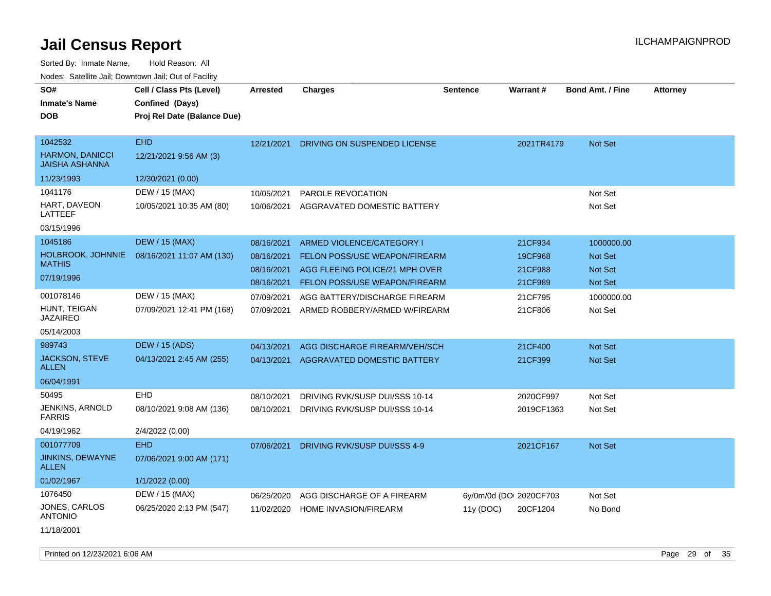| SO#                                             | Cell / Class Pts (Level)    | <b>Arrested</b> | <b>Charges</b>                 | <b>Sentence</b> | Warrant#                | <b>Bond Amt. / Fine</b> | <b>Attorney</b> |
|-------------------------------------------------|-----------------------------|-----------------|--------------------------------|-----------------|-------------------------|-------------------------|-----------------|
| <b>Inmate's Name</b>                            | Confined (Days)             |                 |                                |                 |                         |                         |                 |
| <b>DOB</b>                                      | Proj Rel Date (Balance Due) |                 |                                |                 |                         |                         |                 |
| 1042532                                         | <b>EHD</b>                  | 12/21/2021      |                                |                 |                         | Not Set                 |                 |
| <b>HARMON, DANICCI</b><br><b>JAISHA ASHANNA</b> | 12/21/2021 9:56 AM (3)      |                 | DRIVING ON SUSPENDED LICENSE   |                 | 2021TR4179              |                         |                 |
| 11/23/1993                                      | 12/30/2021 (0.00)           |                 |                                |                 |                         |                         |                 |
| 1041176                                         | DEW / 15 (MAX)              | 10/05/2021      | PAROLE REVOCATION              |                 |                         | Not Set                 |                 |
| HART, DAVEON<br>LATTEEF                         | 10/05/2021 10:35 AM (80)    | 10/06/2021      | AGGRAVATED DOMESTIC BATTERY    |                 |                         | Not Set                 |                 |
| 03/15/1996                                      |                             |                 |                                |                 |                         |                         |                 |
| 1045186                                         | <b>DEW / 15 (MAX)</b>       | 08/16/2021      | ARMED VIOLENCE/CATEGORY I      |                 | 21CF934                 | 1000000.00              |                 |
| HOLBROOK, JOHNNIE                               | 08/16/2021 11:07 AM (130)   | 08/16/2021      | FELON POSS/USE WEAPON/FIREARM  |                 | 19CF968                 | Not Set                 |                 |
| <b>MATHIS</b>                                   |                             | 08/16/2021      | AGG FLEEING POLICE/21 MPH OVER |                 | 21CF988                 | Not Set                 |                 |
| 07/19/1996                                      |                             | 08/16/2021      | FELON POSS/USE WEAPON/FIREARM  |                 | 21CF989                 | Not Set                 |                 |
| 001078146                                       | DEW / 15 (MAX)              | 07/09/2021      | AGG BATTERY/DISCHARGE FIREARM  |                 | 21CF795                 | 1000000.00              |                 |
| HUNT. TEIGAN<br><b>JAZAIREO</b>                 | 07/09/2021 12:41 PM (168)   | 07/09/2021      | ARMED ROBBERY/ARMED W/FIREARM  |                 | 21CF806                 | Not Set                 |                 |
| 05/14/2003                                      |                             |                 |                                |                 |                         |                         |                 |
| 989743                                          | <b>DEW / 15 (ADS)</b>       | 04/13/2021      | AGG DISCHARGE FIREARM/VEH/SCH  |                 | 21CF400                 | Not Set                 |                 |
| <b>JACKSON, STEVE</b><br><b>ALLEN</b>           | 04/13/2021 2:45 AM (255)    | 04/13/2021      | AGGRAVATED DOMESTIC BATTERY    |                 | 21CF399                 | Not Set                 |                 |
| 06/04/1991                                      |                             |                 |                                |                 |                         |                         |                 |
| 50495                                           | <b>EHD</b>                  | 08/10/2021      | DRIVING RVK/SUSP DUI/SSS 10-14 |                 | 2020CF997               | Not Set                 |                 |
| JENKINS, ARNOLD<br><b>FARRIS</b>                | 08/10/2021 9:08 AM (136)    | 08/10/2021      | DRIVING RVK/SUSP DUI/SSS 10-14 |                 | 2019CF1363              | Not Set                 |                 |
| 04/19/1962                                      | 2/4/2022 (0.00)             |                 |                                |                 |                         |                         |                 |
| 001077709                                       | <b>EHD</b>                  | 07/06/2021      | DRIVING RVK/SUSP DUI/SSS 4-9   |                 | 2021CF167               | Not Set                 |                 |
| <b>JINKINS, DEWAYNE</b><br><b>ALLEN</b>         | 07/06/2021 9:00 AM (171)    |                 |                                |                 |                         |                         |                 |
| 01/02/1967                                      | 1/1/2022 (0.00)             |                 |                                |                 |                         |                         |                 |
| 1076450                                         | DEW / 15 (MAX)              | 06/25/2020      | AGG DISCHARGE OF A FIREARM     |                 | 6y/0m/0d (DO: 2020CF703 | Not Set                 |                 |
| JONES, CARLOS<br><b>ANTONIO</b>                 | 06/25/2020 2:13 PM (547)    | 11/02/2020      | <b>HOME INVASION/FIREARM</b>   | 11y (DOC)       | 20CF1204                | No Bond                 |                 |
| 11/18/2001                                      |                             |                 |                                |                 |                         |                         |                 |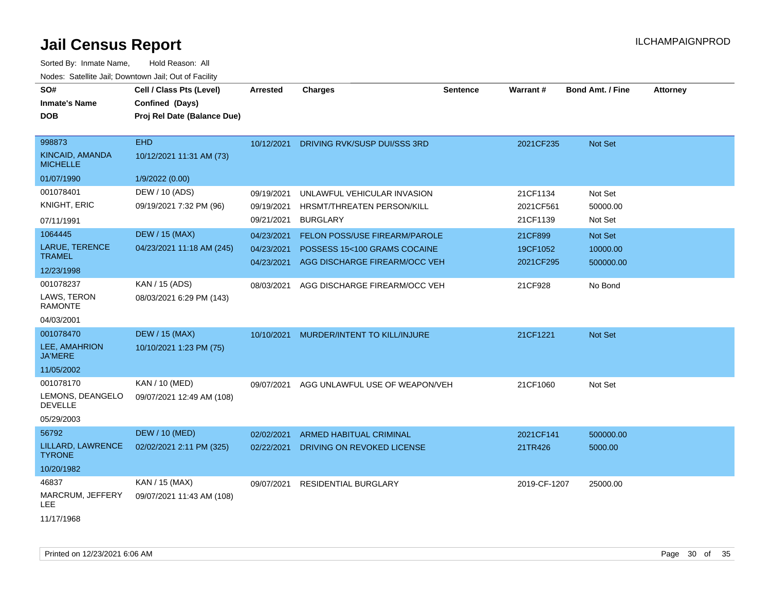| SO#                                | Cell / Class Pts (Level)    | <b>Arrested</b> | <b>Charges</b>                       | <b>Sentence</b> | <b>Warrant#</b> | <b>Bond Amt. / Fine</b> | <b>Attorney</b> |
|------------------------------------|-----------------------------|-----------------|--------------------------------------|-----------------|-----------------|-------------------------|-----------------|
| <b>Inmate's Name</b>               | Confined (Days)             |                 |                                      |                 |                 |                         |                 |
| <b>DOB</b>                         | Proj Rel Date (Balance Due) |                 |                                      |                 |                 |                         |                 |
|                                    |                             |                 |                                      |                 |                 |                         |                 |
| 998873                             | <b>EHD</b>                  | 10/12/2021      | DRIVING RVK/SUSP DUI/SSS 3RD         |                 | 2021CF235       | Not Set                 |                 |
| KINCAID, AMANDA<br><b>MICHELLE</b> | 10/12/2021 11:31 AM (73)    |                 |                                      |                 |                 |                         |                 |
| 01/07/1990                         | 1/9/2022 (0.00)             |                 |                                      |                 |                 |                         |                 |
| 001078401                          | DEW / 10 (ADS)              | 09/19/2021      | UNLAWFUL VEHICULAR INVASION          |                 | 21CF1134        | Not Set                 |                 |
| KNIGHT, ERIC                       | 09/19/2021 7:32 PM (96)     | 09/19/2021      | HRSMT/THREATEN PERSON/KILL           |                 | 2021CF561       | 50000.00                |                 |
| 07/11/1991                         |                             | 09/21/2021      | <b>BURGLARY</b>                      |                 | 21CF1139        | Not Set                 |                 |
| 1064445                            | <b>DEW / 15 (MAX)</b>       | 04/23/2021      | <b>FELON POSS/USE FIREARM/PAROLE</b> |                 | 21CF899         | Not Set                 |                 |
| <b>LARUE, TERENCE</b>              | 04/23/2021 11:18 AM (245)   | 04/23/2021      | POSSESS 15<100 GRAMS COCAINE         |                 | 19CF1052        | 10000.00                |                 |
| <b>TRAMEL</b>                      |                             | 04/23/2021      | AGG DISCHARGE FIREARM/OCC VEH        |                 | 2021CF295       | 500000.00               |                 |
| 12/23/1998                         |                             |                 |                                      |                 |                 |                         |                 |
| 001078237                          | KAN / 15 (ADS)              | 08/03/2021      | AGG DISCHARGE FIREARM/OCC VEH        |                 | 21CF928         | No Bond                 |                 |
| LAWS, TERON<br><b>RAMONTE</b>      | 08/03/2021 6:29 PM (143)    |                 |                                      |                 |                 |                         |                 |
| 04/03/2001                         |                             |                 |                                      |                 |                 |                         |                 |
| 001078470                          | <b>DEW / 15 (MAX)</b>       | 10/10/2021      | MURDER/INTENT TO KILL/INJURE         |                 | 21CF1221        | Not Set                 |                 |
| LEE, AMAHRION<br><b>JA'MERE</b>    | 10/10/2021 1:23 PM (75)     |                 |                                      |                 |                 |                         |                 |
| 11/05/2002                         |                             |                 |                                      |                 |                 |                         |                 |
| 001078170                          | KAN / 10 (MED)              | 09/07/2021      | AGG UNLAWFUL USE OF WEAPON/VEH       |                 | 21CF1060        | Not Set                 |                 |
| LEMONS, DEANGELO<br><b>DEVELLE</b> | 09/07/2021 12:49 AM (108)   |                 |                                      |                 |                 |                         |                 |
| 05/29/2003                         |                             |                 |                                      |                 |                 |                         |                 |
| 56792                              | <b>DEW / 10 (MED)</b>       | 02/02/2021      | <b>ARMED HABITUAL CRIMINAL</b>       |                 | 2021CF141       | 500000.00               |                 |
| LILLARD, LAWRENCE<br><b>TYRONE</b> | 02/02/2021 2:11 PM (325)    | 02/22/2021      | DRIVING ON REVOKED LICENSE           |                 | 21TR426         | 5000.00                 |                 |
| 10/20/1982                         |                             |                 |                                      |                 |                 |                         |                 |
| 46837                              | KAN / 15 (MAX)              | 09/07/2021      | <b>RESIDENTIAL BURGLARY</b>          |                 | 2019-CF-1207    | 25000.00                |                 |
| MARCRUM, JEFFERY<br>LEE.           | 09/07/2021 11:43 AM (108)   |                 |                                      |                 |                 |                         |                 |
| 11/17/1968                         |                             |                 |                                      |                 |                 |                         |                 |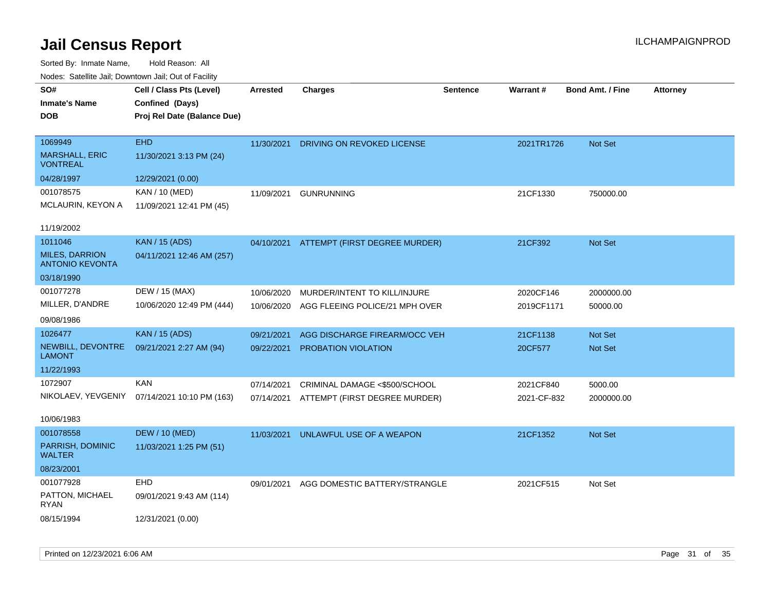| SO#                                             | Cell / Class Pts (Level)                     | <b>Arrested</b> | <b>Charges</b>                           | <b>Sentence</b> | Warrant#    | <b>Bond Amt. / Fine</b> | <b>Attorney</b> |
|-------------------------------------------------|----------------------------------------------|-----------------|------------------------------------------|-----------------|-------------|-------------------------|-----------------|
| <b>Inmate's Name</b>                            | Confined (Days)                              |                 |                                          |                 |             |                         |                 |
| <b>DOB</b>                                      | Proj Rel Date (Balance Due)                  |                 |                                          |                 |             |                         |                 |
|                                                 |                                              |                 |                                          |                 |             |                         |                 |
| 1069949                                         | <b>EHD</b>                                   | 11/30/2021      | DRIVING ON REVOKED LICENSE               |                 | 2021TR1726  | Not Set                 |                 |
| <b>MARSHALL, ERIC</b><br><b>VONTREAL</b>        | 11/30/2021 3:13 PM (24)                      |                 |                                          |                 |             |                         |                 |
| 04/28/1997                                      | 12/29/2021 (0.00)                            |                 |                                          |                 |             |                         |                 |
| 001078575                                       | KAN / 10 (MED)                               | 11/09/2021      | <b>GUNRUNNING</b>                        |                 | 21CF1330    | 750000.00               |                 |
| MCLAURIN, KEYON A                               | 11/09/2021 12:41 PM (45)                     |                 |                                          |                 |             |                         |                 |
| 11/19/2002                                      |                                              |                 |                                          |                 |             |                         |                 |
| 1011046                                         | <b>KAN / 15 (ADS)</b>                        |                 | 04/10/2021 ATTEMPT (FIRST DEGREE MURDER) |                 | 21CF392     | Not Set                 |                 |
| <b>MILES, DARRION</b><br><b>ANTONIO KEVONTA</b> | 04/11/2021 12:46 AM (257)                    |                 |                                          |                 |             |                         |                 |
| 03/18/1990                                      |                                              |                 |                                          |                 |             |                         |                 |
| 001077278                                       | DEW / 15 (MAX)                               | 10/06/2020      | MURDER/INTENT TO KILL/INJURE             |                 | 2020CF146   | 2000000.00              |                 |
| MILLER, D'ANDRE                                 | 10/06/2020 12:49 PM (444)                    | 10/06/2020      | AGG FLEEING POLICE/21 MPH OVER           |                 | 2019CF1171  | 50000.00                |                 |
| 09/08/1986                                      |                                              |                 |                                          |                 |             |                         |                 |
| 1026477                                         | <b>KAN / 15 (ADS)</b>                        | 09/21/2021      | AGG DISCHARGE FIREARM/OCC VEH            |                 | 21CF1138    | <b>Not Set</b>          |                 |
| NEWBILL, DEVONTRE<br><b>LAMONT</b>              | 09/21/2021 2:27 AM (94)                      | 09/22/2021      | <b>PROBATION VIOLATION</b>               |                 | 20CF577     | Not Set                 |                 |
| 11/22/1993                                      |                                              |                 |                                          |                 |             |                         |                 |
| 1072907                                         | <b>KAN</b>                                   | 07/14/2021      | CRIMINAL DAMAGE <\$500/SCHOOL            |                 | 2021CF840   | 5000.00                 |                 |
|                                                 | NIKOLAEV, YEVGENIY 07/14/2021 10:10 PM (163) |                 | 07/14/2021 ATTEMPT (FIRST DEGREE MURDER) |                 | 2021-CF-832 | 2000000.00              |                 |
|                                                 |                                              |                 |                                          |                 |             |                         |                 |
| 10/06/1983                                      |                                              |                 |                                          |                 |             |                         |                 |
| 001078558                                       | <b>DEW / 10 (MED)</b>                        | 11/03/2021      | UNLAWFUL USE OF A WEAPON                 |                 | 21CF1352    | <b>Not Set</b>          |                 |
| PARRISH, DOMINIC<br><b>WALTER</b>               | 11/03/2021 1:25 PM (51)                      |                 |                                          |                 |             |                         |                 |
| 08/23/2001                                      |                                              |                 |                                          |                 |             |                         |                 |
| 001077928                                       | EHD                                          | 09/01/2021      | AGG DOMESTIC BATTERY/STRANGLE            |                 | 2021CF515   | Not Set                 |                 |
| PATTON, MICHAEL<br>RYAN                         | 09/01/2021 9:43 AM (114)                     |                 |                                          |                 |             |                         |                 |
| 08/15/1994                                      | 12/31/2021 (0.00)                            |                 |                                          |                 |             |                         |                 |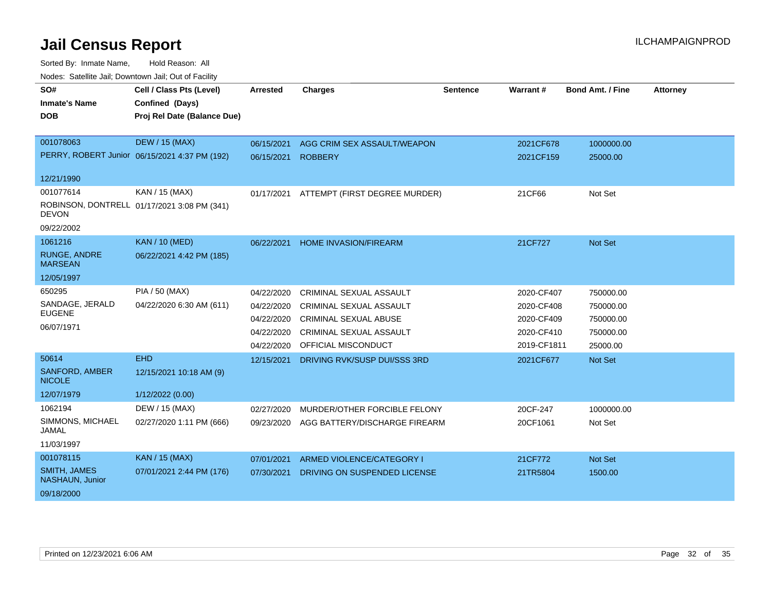| SO#<br><b>Inmate's Name</b><br><b>DOB</b> | Cell / Class Pts (Level)<br>Confined (Days)<br>Proj Rel Date (Balance Due) | <b>Arrested</b> | <b>Charges</b>                 | <b>Sentence</b> | Warrant#    | <b>Bond Amt. / Fine</b> | <b>Attorney</b> |
|-------------------------------------------|----------------------------------------------------------------------------|-----------------|--------------------------------|-----------------|-------------|-------------------------|-----------------|
| 001078063                                 | <b>DEW / 15 (MAX)</b>                                                      | 06/15/2021      | AGG CRIM SEX ASSAULT/WEAPON    |                 | 2021CF678   | 1000000.00              |                 |
|                                           | PERRY, ROBERT Junior 06/15/2021 4:37 PM (192)                              | 06/15/2021      | <b>ROBBERY</b>                 |                 | 2021CF159   | 25000.00                |                 |
| 12/21/1990                                |                                                                            |                 |                                |                 |             |                         |                 |
| 001077614                                 | KAN / 15 (MAX)                                                             | 01/17/2021      | ATTEMPT (FIRST DEGREE MURDER)  |                 | 21CF66      | Not Set                 |                 |
| <b>DEVON</b>                              | ROBINSON, DONTRELL 01/17/2021 3:08 PM (341)                                |                 |                                |                 |             |                         |                 |
| 09/22/2002                                |                                                                            |                 |                                |                 |             |                         |                 |
| 1061216                                   | <b>KAN / 10 (MED)</b>                                                      | 06/22/2021      | <b>HOME INVASION/FIREARM</b>   |                 | 21CF727     | Not Set                 |                 |
| RUNGE, ANDRE<br><b>MARSEAN</b>            | 06/22/2021 4:42 PM (185)                                                   |                 |                                |                 |             |                         |                 |
| 12/05/1997                                |                                                                            |                 |                                |                 |             |                         |                 |
| 650295                                    | PIA / 50 (MAX)                                                             | 04/22/2020      | <b>CRIMINAL SEXUAL ASSAULT</b> |                 | 2020-CF407  | 750000.00               |                 |
| SANDAGE, JERALD                           | 04/22/2020 6:30 AM (611)                                                   | 04/22/2020      | CRIMINAL SEXUAL ASSAULT        |                 | 2020-CF408  | 750000.00               |                 |
| <b>EUGENE</b>                             |                                                                            | 04/22/2020      | <b>CRIMINAL SEXUAL ABUSE</b>   |                 | 2020-CF409  | 750000.00               |                 |
| 06/07/1971                                |                                                                            | 04/22/2020      | CRIMINAL SEXUAL ASSAULT        |                 | 2020-CF410  | 750000.00               |                 |
|                                           |                                                                            | 04/22/2020      | <b>OFFICIAL MISCONDUCT</b>     |                 | 2019-CF1811 | 25000.00                |                 |
| 50614                                     | <b>EHD</b>                                                                 | 12/15/2021      | DRIVING RVK/SUSP DUI/SSS 3RD   |                 | 2021CF677   | Not Set                 |                 |
| <b>SANFORD, AMBER</b><br><b>NICOLE</b>    | 12/15/2021 10:18 AM (9)                                                    |                 |                                |                 |             |                         |                 |
| 12/07/1979                                | 1/12/2022 (0.00)                                                           |                 |                                |                 |             |                         |                 |
| 1062194                                   | DEW / 15 (MAX)                                                             | 02/27/2020      | MURDER/OTHER FORCIBLE FELONY   |                 | 20CF-247    | 1000000.00              |                 |
| SIMMONS, MICHAEL<br><b>JAMAL</b>          | 02/27/2020 1:11 PM (666)                                                   | 09/23/2020      | AGG BATTERY/DISCHARGE FIREARM  |                 | 20CF1061    | Not Set                 |                 |
| 11/03/1997                                |                                                                            |                 |                                |                 |             |                         |                 |
| 001078115                                 | <b>KAN / 15 (MAX)</b>                                                      | 07/01/2021      | ARMED VIOLENCE/CATEGORY I      |                 | 21CF772     | Not Set                 |                 |
| <b>SMITH, JAMES</b><br>NASHAUN, Junior    | 07/01/2021 2:44 PM (176)                                                   | 07/30/2021      | DRIVING ON SUSPENDED LICENSE   |                 | 21TR5804    | 1500.00                 |                 |
| 09/18/2000                                |                                                                            |                 |                                |                 |             |                         |                 |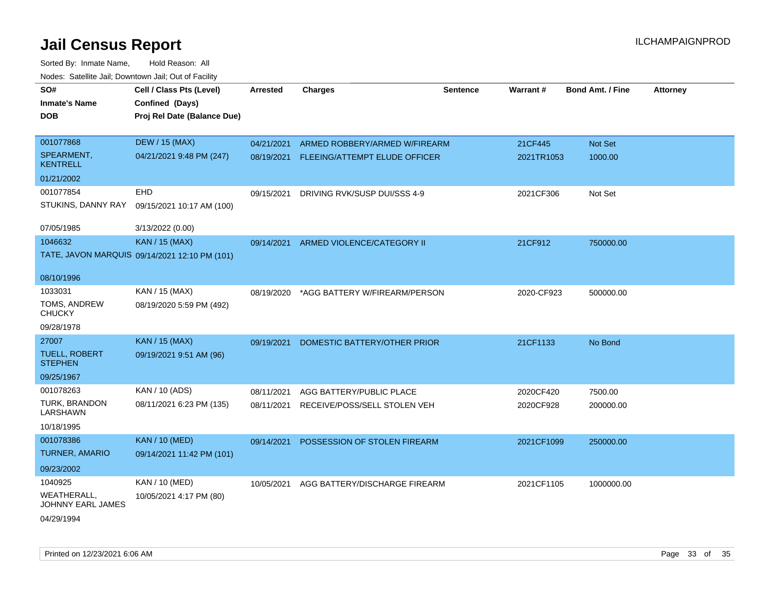| SO#                                     | Cell / Class Pts (Level)                      | <b>Arrested</b> | <b>Charges</b>                | Sentence | Warrant#   | <b>Bond Amt. / Fine</b> | <b>Attorney</b> |
|-----------------------------------------|-----------------------------------------------|-----------------|-------------------------------|----------|------------|-------------------------|-----------------|
| <b>Inmate's Name</b>                    | Confined (Days)                               |                 |                               |          |            |                         |                 |
| <b>DOB</b>                              | Proj Rel Date (Balance Due)                   |                 |                               |          |            |                         |                 |
|                                         |                                               |                 |                               |          |            |                         |                 |
| 001077868                               | <b>DEW / 15 (MAX)</b>                         | 04/21/2021      | ARMED ROBBERY/ARMED W/FIREARM |          | 21CF445    | Not Set                 |                 |
| SPEARMENT,<br><b>KENTRELL</b>           | 04/21/2021 9:48 PM (247)                      | 08/19/2021      | FLEEING/ATTEMPT ELUDE OFFICER |          | 2021TR1053 | 1000.00                 |                 |
| 01/21/2002                              |                                               |                 |                               |          |            |                         |                 |
| 001077854                               | <b>EHD</b>                                    | 09/15/2021      | DRIVING RVK/SUSP DUI/SSS 4-9  |          | 2021CF306  | Not Set                 |                 |
| STUKINS, DANNY RAY                      | 09/15/2021 10:17 AM (100)                     |                 |                               |          |            |                         |                 |
| 07/05/1985                              | 3/13/2022 (0.00)                              |                 |                               |          |            |                         |                 |
| 1046632                                 | <b>KAN / 15 (MAX)</b>                         | 09/14/2021      | ARMED VIOLENCE/CATEGORY II    |          | 21CF912    | 750000.00               |                 |
|                                         | TATE, JAVON MARQUIS 09/14/2021 12:10 PM (101) |                 |                               |          |            |                         |                 |
|                                         |                                               |                 |                               |          |            |                         |                 |
| 08/10/1996                              |                                               |                 |                               |          |            |                         |                 |
| 1033031                                 | KAN / 15 (MAX)                                | 08/19/2020      | *AGG BATTERY W/FIREARM/PERSON |          | 2020-CF923 | 500000.00               |                 |
| TOMS, ANDREW<br><b>CHUCKY</b>           | 08/19/2020 5:59 PM (492)                      |                 |                               |          |            |                         |                 |
| 09/28/1978                              |                                               |                 |                               |          |            |                         |                 |
| 27007                                   | KAN / 15 (MAX)                                | 09/19/2021      | DOMESTIC BATTERY/OTHER PRIOR  |          | 21CF1133   | No Bond                 |                 |
| <b>TUELL, ROBERT</b><br><b>STEPHEN</b>  | 09/19/2021 9:51 AM (96)                       |                 |                               |          |            |                         |                 |
| 09/25/1967                              |                                               |                 |                               |          |            |                         |                 |
| 001078263                               | KAN / 10 (ADS)                                | 08/11/2021      | AGG BATTERY/PUBLIC PLACE      |          | 2020CF420  | 7500.00                 |                 |
| TURK, BRANDON<br>LARSHAWN               | 08/11/2021 6:23 PM (135)                      | 08/11/2021      | RECEIVE/POSS/SELL STOLEN VEH  |          | 2020CF928  | 200000.00               |                 |
| 10/18/1995                              |                                               |                 |                               |          |            |                         |                 |
| 001078386                               | <b>KAN / 10 (MED)</b>                         | 09/14/2021      | POSSESSION OF STOLEN FIREARM  |          | 2021CF1099 | 250000.00               |                 |
| TURNER, AMARIO                          | 09/14/2021 11:42 PM (101)                     |                 |                               |          |            |                         |                 |
| 09/23/2002                              |                                               |                 |                               |          |            |                         |                 |
| 1040925                                 | KAN / 10 (MED)                                | 10/05/2021      | AGG BATTERY/DISCHARGE FIREARM |          | 2021CF1105 | 1000000.00              |                 |
| <b>WEATHERALL,</b><br>JOHNNY EARL JAMES | 10/05/2021 4:17 PM (80)                       |                 |                               |          |            |                         |                 |
| 04/29/1994                              |                                               |                 |                               |          |            |                         |                 |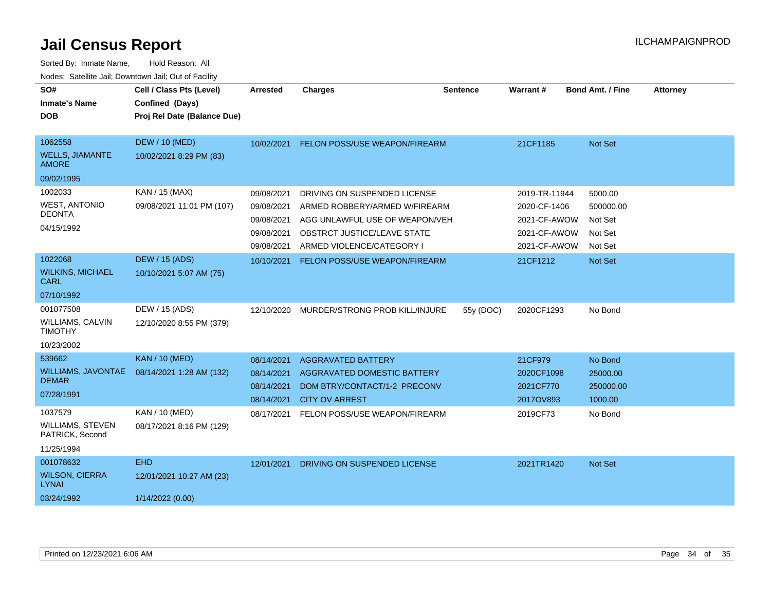| SO#<br><b>Inmate's Name</b><br><b>DOB</b>                           | Cell / Class Pts (Level)<br>Confined (Days)<br>Proj Rel Date (Balance Due) | <b>Arrested</b>                                                    | <b>Charges</b>                                                                                                                                                     | <b>Sentence</b> | Warrant#                                                                      | Bond Amt. / Fine                                      | <b>Attorney</b> |
|---------------------------------------------------------------------|----------------------------------------------------------------------------|--------------------------------------------------------------------|--------------------------------------------------------------------------------------------------------------------------------------------------------------------|-----------------|-------------------------------------------------------------------------------|-------------------------------------------------------|-----------------|
| 1062558<br><b>WELLS, JIAMANTE</b><br><b>AMORE</b><br>09/02/1995     | <b>DEW / 10 (MED)</b><br>10/02/2021 8:29 PM (83)                           | 10/02/2021                                                         | FELON POSS/USE WEAPON/FIREARM                                                                                                                                      |                 | 21CF1185                                                                      | Not Set                                               |                 |
| 1002033<br><b>WEST, ANTONIO</b><br><b>DEONTA</b><br>04/15/1992      | KAN / 15 (MAX)<br>09/08/2021 11:01 PM (107)                                | 09/08/2021<br>09/08/2021<br>09/08/2021<br>09/08/2021<br>09/08/2021 | DRIVING ON SUSPENDED LICENSE<br>ARMED ROBBERY/ARMED W/FIREARM<br>AGG UNLAWFUL USE OF WEAPON/VEH<br><b>OBSTRCT JUSTICE/LEAVE STATE</b><br>ARMED VIOLENCE/CATEGORY I |                 | 2019-TR-11944<br>2020-CF-1406<br>2021-CF-AWOW<br>2021-CF-AWOW<br>2021-CF-AWOW | 5000.00<br>500000.00<br>Not Set<br>Not Set<br>Not Set |                 |
| 1022068<br><b>WILKINS, MICHAEL</b><br><b>CARL</b><br>07/10/1992     | DEW / 15 (ADS)<br>10/10/2021 5:07 AM (75)                                  | 10/10/2021                                                         | FELON POSS/USE WEAPON/FIREARM                                                                                                                                      |                 | 21CF1212                                                                      | Not Set                                               |                 |
| 001077508<br>WILLIAMS, CALVIN<br><b>TIMOTHY</b><br>10/23/2002       | DEW / 15 (ADS)<br>12/10/2020 8:55 PM (379)                                 | 12/10/2020                                                         | MURDER/STRONG PROB KILL/INJURE                                                                                                                                     | 55y (DOC)       | 2020CF1293                                                                    | No Bond                                               |                 |
| 539662<br><b>WILLIAMS, JAVONTAE</b><br><b>DEMAR</b><br>07/28/1991   | <b>KAN / 10 (MED)</b><br>08/14/2021 1:28 AM (132)                          | 08/14/2021<br>08/14/2021<br>08/14/2021<br>08/14/2021               | <b>AGGRAVATED BATTERY</b><br>AGGRAVATED DOMESTIC BATTERY<br>DOM BTRY/CONTACT/1-2 PRECONV<br><b>CITY OV ARREST</b>                                                  |                 | 21CF979<br>2020CF1098<br>2021CF770<br>2017OV893                               | No Bond<br>25000.00<br>250000.00<br>1000.00           |                 |
| 1037579<br><b>WILLIAMS, STEVEN</b><br>PATRICK, Second<br>11/25/1994 | KAN / 10 (MED)<br>08/17/2021 8:16 PM (129)                                 | 08/17/2021                                                         | FELON POSS/USE WEAPON/FIREARM                                                                                                                                      |                 | 2019CF73                                                                      | No Bond                                               |                 |
| 001078632<br><b>WILSON, CIERRA</b><br><b>LYNAI</b><br>03/24/1992    | <b>EHD</b><br>12/01/2021 10:27 AM (23)<br>1/14/2022 (0.00)                 | 12/01/2021                                                         | DRIVING ON SUSPENDED LICENSE                                                                                                                                       |                 | 2021TR1420                                                                    | Not Set                                               |                 |